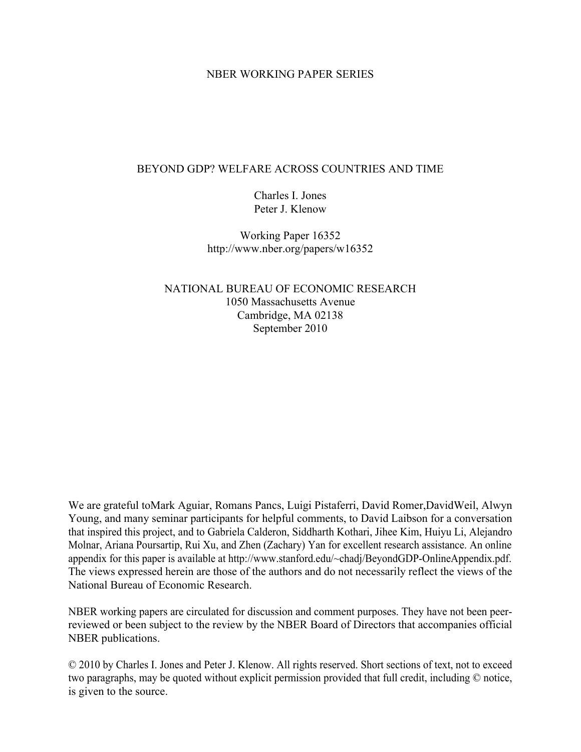## NBER WORKING PAPER SERIES

# BEYOND GDP? WELFARE ACROSS COUNTRIES AND TIME

Charles I. Jones Peter J. Klenow

Working Paper 16352 http://www.nber.org/papers/w16352

NATIONAL BUREAU OF ECONOMIC RESEARCH 1050 Massachusetts Avenue Cambridge, MA 02138 September 2010

We are grateful toMark Aguiar, Romans Pancs, Luigi Pistaferri, David Romer,DavidWeil, Alwyn Young, and many seminar participants for helpful comments, to David Laibson for a conversation that inspired this project, and to Gabriela Calderon, Siddharth Kothari, Jihee Kim, Huiyu Li, Alejandro Molnar, Ariana Poursartip, Rui Xu, and Zhen (Zachary) Yan for excellent research assistance. An online appendix for this paper is available at http://www.stanford.edu/~chadj/BeyondGDP-OnlineAppendix.pdf. The views expressed herein are those of the authors and do not necessarily reflect the views of the National Bureau of Economic Research.

NBER working papers are circulated for discussion and comment purposes. They have not been peerreviewed or been subject to the review by the NBER Board of Directors that accompanies official NBER publications.

© 2010 by Charles I. Jones and Peter J. Klenow. All rights reserved. Short sections of text, not to exceed two paragraphs, may be quoted without explicit permission provided that full credit, including © notice, is given to the source.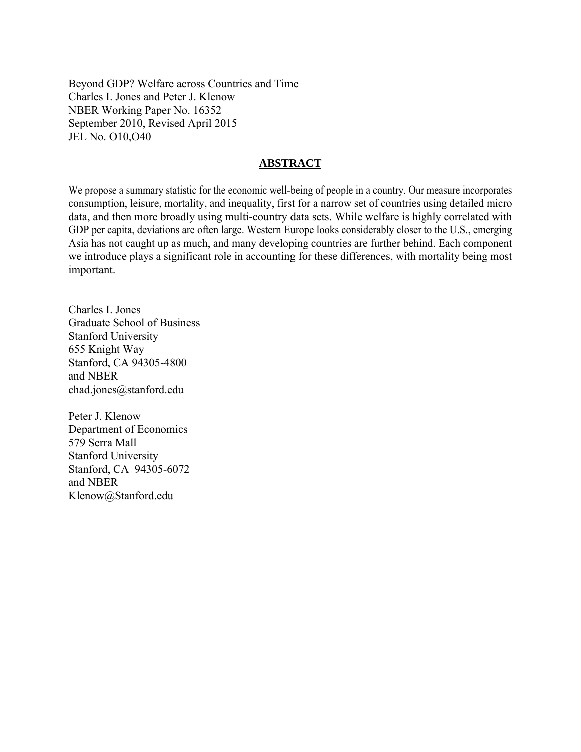Beyond GDP? Welfare across Countries and Time Charles I. Jones and Peter J. Klenow NBER Working Paper No. 16352 September 2010, Revised April 2015 JEL No. O10,O40

# **ABSTRACT**

We propose a summary statistic for the economic well-being of people in a country. Our measure incorporates consumption, leisure, mortality, and inequality, first for a narrow set of countries using detailed micro data, and then more broadly using multi-country data sets. While welfare is highly correlated with GDP per capita, deviations are often large. Western Europe looks considerably closer to the U.S., emerging Asia has not caught up as much, and many developing countries are further behind. Each component we introduce plays a significant role in accounting for these differences, with mortality being most important.

Charles I. Jones Graduate School of Business Stanford University 655 Knight Way Stanford, CA 94305-4800 and NBER chad.jones@stanford.edu

Peter J. Klenow Department of Economics 579 Serra Mall Stanford University Stanford, CA 94305-6072 and NBER Klenow@Stanford.edu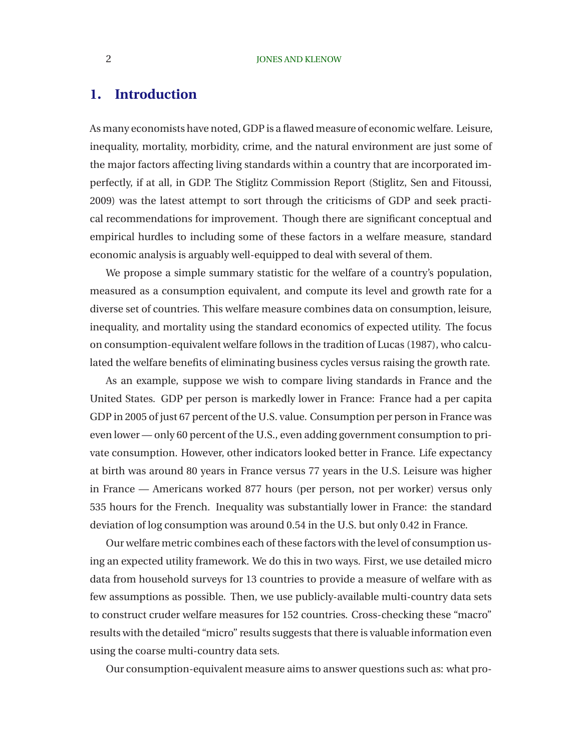### 2 **JONES AND KLENOW**

# **1. Introduction**

As many economists have noted, GDP is a flawed measure of economic welfare. Leisure, inequality, mortality, morbidity, crime, and the natural environment are just some of the major factors affecting living standards within a country that are incorporated imperfectly, if at all, in GDP. The Stiglitz Commission Report [\(Stiglitz, Sen and Fitoussi,](#page-40-0) [2009\)](#page-40-0) was the latest attempt to sort through the criticisms of GDP and seek practical recommendations for improvement. Though there are significant conceptual and empirical hurdles to including some of these factors in a welfare measure, standard economic analysis is arguably well-equipped to deal with several of them.

We propose a simple summary statistic for the welfare of a country's population, measured as a consumption equivalent, and compute its level and growth rate for a diverse set of countries. This welfare measure combines data on consumption, leisure, inequality, and mortality using the standard economics of expected utility. The focus on consumption-equivalent welfare follows in the tradition of [Lucas \(1987\)](#page-39-0), who calculated the welfare benefits of eliminating business cycles versus raising the growth rate.

As an example, suppose we wish to compare living standards in France and the United States. GDP per person is markedly lower in France: France had a per capita GDP in 2005 of just 67 percent of the U.S. value. Consumption per person in France was even lower — only 60 percent of the U.S., even adding government consumption to private consumption. However, other indicators looked better in France. Life expectancy at birth was around 80 years in France versus 77 years in the U.S. Leisure was higher in France — Americans worked 877 hours (per person, not per worker) versus only 535 hours for the French. Inequality was substantially lower in France: the standard deviation of log consumption was around 0.54 in the U.S. but only 0.42 in France.

Our welfare metric combines each of these factors with the level of consumption using an expected utility framework. We do this in two ways. First, we use detailed micro data from household surveys for 13 countries to provide a measure of welfare with as few assumptions as possible. Then, we use publicly-available multi-country data sets to construct cruder welfare measures for 152 countries. Cross-checking these "macro" results with the detailed "micro" results suggests that there is valuable information even using the coarse multi-country data sets.

Our consumption-equivalent measure aims to answer questions such as: what pro-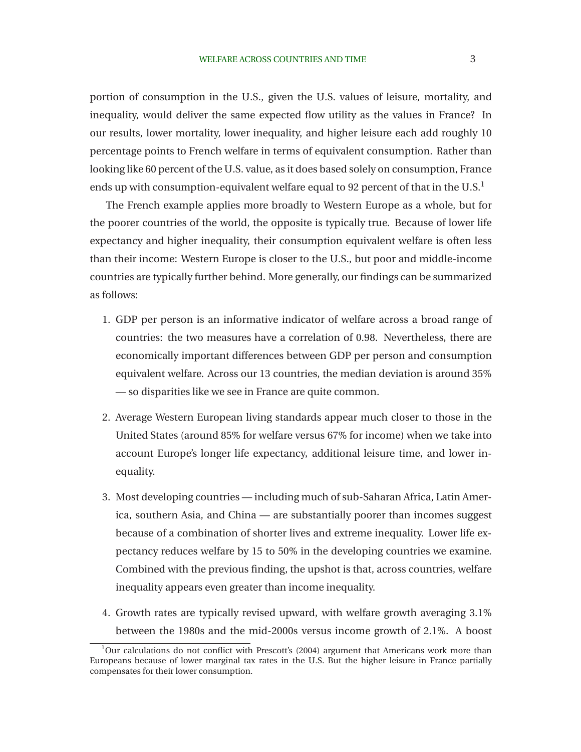portion of consumption in the U.S., given the U.S. values of leisure, mortality, and inequality, would deliver the same expected flow utility as the values in France? In our results, lower mortality, lower inequality, and higher leisure each add roughly 10 percentage points to French welfare in terms of equivalent consumption. Rather than looking like 60 percent of the U.S. value, as it does based solely on consumption, France ends up with consumption-equivalent welfare equal to 92 percent of that in the  $U.S.<sup>1</sup>$ 

The French example applies more broadly to Western Europe as a whole, but for the poorer countries of the world, the opposite is typically true. Because of lower life expectancy and higher inequality, their consumption equivalent welfare is often less than their income: Western Europe is closer to the U.S., but poor and middle-income countries are typically further behind. More generally, our findings can be summarized as follows:

- 1. GDP per person is an informative indicator of welfare across a broad range of countries: the two measures have a correlation of 0.98. Nevertheless, there are economically important differences between GDP per person and consumption equivalent welfare. Across our 13 countries, the median deviation is around 35% — so disparities like we see in France are quite common.
- 2. Average Western European living standards appear much closer to those in the United States (around 85% for welfare versus 67% for income) when we take into account Europe's longer life expectancy, additional leisure time, and lower inequality.
- 3. Most developing countries including much of sub-Saharan Africa, Latin America, southern Asia, and China — are substantially poorer than incomes suggest because of a combination of shorter lives and extreme inequality. Lower life expectancy reduces welfare by 15 to 50% in the developing countries we examine. Combined with the previous finding, the upshot is that, across countries, welfare inequality appears even greater than income inequality.
- 4. Growth rates are typically revised upward, with welfare growth averaging 3.1% between the 1980s and the mid-2000s versus income growth of 2.1%. A boost

 $1$ Our calculations do not conflict with Prescott's (2004) argument that Americans work more than Europeans because of lower marginal tax rates in the U.S. But the higher leisure in France partially compensates for their lower consumption.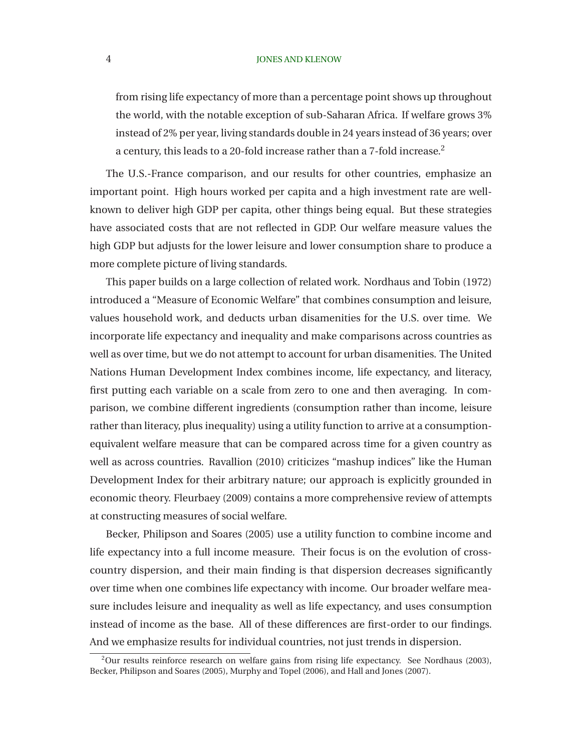#### 4 **JONES AND KLENOW**

from rising life expectancy of more than a percentage point shows up throughout the world, with the notable exception of sub-Saharan Africa. If welfare grows 3% instead of 2% per year, living standards double in 24 years instead of 36 years; over a century, this leads to a 20-fold increase rather than a 7-fold increase.<sup>2</sup>

The U.S.-France comparison, and our results for other countries, emphasize an important point. High hours worked per capita and a high investment rate are wellknown to deliver high GDP per capita, other things being equal. But these strategies have associated costs that are not reflected in GDP. Our welfare measure values the high GDP but adjusts for the lower leisure and lower consumption share to produce a more complete picture of living standards.

This paper builds on a large collection of related work. [Nordhaus and Tobin](#page-40-0) [\(1972\)](#page-40-0) introduced a "Measure of Economic Welfare" that combines consumption and leisure, values household work, and deducts urban disamenities for the U.S. over time. We incorporate life expectancy and inequality and make comparisons across countries as well as over time, but we do not attempt to account for urban disamenities. The United Nations Human Development Index combines income, life expectancy, and literacy, first putting each variable on a scale from zero to one and then averaging. In comparison, we combine different ingredients (consumption rather than income, leisure rather than literacy, plus inequality) using a utility function to arrive at a consumptionequivalent welfare measure that can be compared across time for a given country as well as across countries. [Ravallion](#page-40-0) [\(2010](#page-40-0)) criticizes "mashup indices" like the Human Development Index for their arbitrary nature; our approach is explicitly grounded in economic theory. [Fleurbaey \(2009](#page-39-0)) contains a more comprehensive review of attempts [at constructing measures of socia](#page-38-0)l welfare.

Becker, Philipson and Soares [\(2005](#page-38-0)) use a utility function to combine income and life expectancy into a full income measure. Their focus is on the evolution of crosscountry dispersion, and their main finding is that dispersion decreases significantly over time when one combines life expectancy with income. Our broader welfare measure includes leisure and inequality as well as life expectancy, and uses consumption instead of income as the base. All of these differences are first-order to our findings. And we emphasize results for individual countries, not just trends in dispersion.

<sup>2</sup>Our results reinforce research on welfare gains from rising life expectancy. See [Nordhaus](#page-40-0) [\(2003\)](#page-40-0), [Becker, Philipson and Soares](#page-38-0) [\(2005\)](#page-38-0), [Murphy and Topel \(2006](#page-39-0)), and [Hall and Jones](#page-39-0) [\(2007\)](#page-39-0).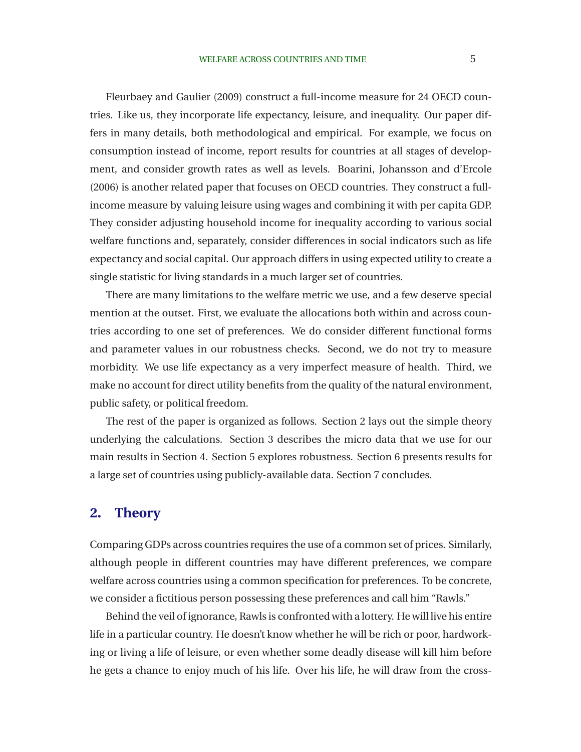Fleurbaey and Gaulier [\(2009\)](#page-39-0) construct a full-income measure for 24 OECD countries. Like us, they incorporate life expectancy, leisure, and inequality. Our paper differs in many details, both methodological and empirical. For example, we focus on consumption instead of income, report results for countries at all stages of development, and consider growth rates as well as levels. [Boarini, Johansson and d'Ercole](#page-39-0) [\(2006\)](#page-39-0) is another related paper that focuses on OECD countries. They construct a fullincome measure by valuing leisure using wages and combining it with per capita GDP. They consider adjusting household income for inequality according to various social welfare functions and, separately, consider differences in social indicators such as life expectancy and social capital. Our approach differs in using expected utility to create a single statistic for living standards in a much larger set of countries.

There are many limitations to the welfare metric we use, and a few deserve special mention at the outset. First, we evaluate the allocations both within and across countries according to one set of preferences. We do consider different functional forms and parameter values in our robustness checks. Second, we do not try to measure morbidity. We use life expectancy as a very imperfect measure of health. Third, we make no account for direct utility benefits from the quality of the natural environment, public safety, or political freedom.

The rest of the paper is organized as follows. Section 2 lays out the simple theory underlying the calculations. Section 3 describes the micro data that we use for our main results in Section 4. Section 5 explores robustness. Section 6 presents results for a large set of countries using publicly-available data. Section 7 concludes.

# **2. Theory**

Comparing GDPs across countries requires the use of a common set of prices. Similarly, although people in different countries may have different preferences, we compare welfare across countries using a common specification for preferences. To be concrete, we consider a fictitious person possessing these preferences and call him "Rawls."

Behind the veil of ignorance, Rawls is confronted with a lottery. He will live his entire life in a particular country. He doesn't know whether he will be rich or poor, hardworking or living a life of leisure, or even whether some deadly disease will kill him before he gets a chance to enjoy much of his life. Over his life, he will draw from the cross-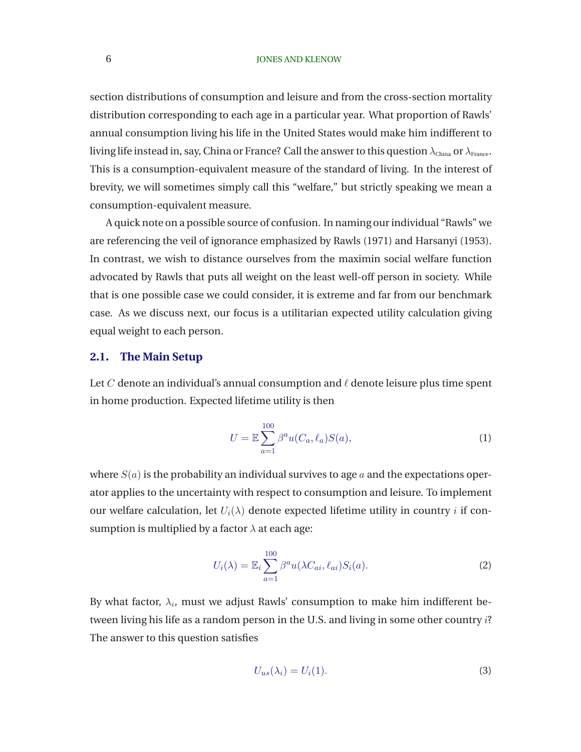### <span id="page-6-0"></span>6 **JONES AND KLENOW**

section distributions of consumption and leisure and from the cross-section mortality distribution corresponding to each age in a particular year. What proportion of Rawls' annual consumption living his life in the United States would make him indifferent to living life instead in, say, China or France? Call the answer to this question  $\lambda_{\text{China}}$  or  $\lambda_{\text{France}}$ . This is a consumption-equivalent measure of the standard of living. In the interest of brevity, we will sometimes simply call this "welfare," but strictly speaking we mean a consumption-equivalent measure.

A quick note on a possible source of confusion. In naming our individual "Rawls" we are referencing the veil of ignorance emphasized by [Rawls](#page-40-0) [\(1971\)](#page-40-0) and [Harsanyi](#page-39-0) [\(1953\)](#page-39-0). In contrast, we wish to distance ourselves from the maximin social welfare function advocated by Rawls that puts all weight on the least well-off person in society. While that is one possible case we could consider, it is extreme and far from our benchmark case. As we discuss next, our focus is a utilitarian expected utility calculation giving equal weight to each person.

### **2.1. The Main Setup**

Let C denote an individual's annual consumption and  $\ell$  denote leisure plus time spent in home production. Expected lifetime utility is then

$$
U = \mathbb{E}\sum_{a=1}^{100} \beta^a u(C_a, \ell_a) S(a), \tag{1}
$$

where  $S(a)$  is the probability an individual survives to age a and the expectations operator applies to the uncertainty with respect to consumption and leisure. To implement our welfare calculation, let  $U_i(\lambda)$  denote expected lifetime utility in country *i* if consumption is multiplied by a factor  $\lambda$  at each age:

$$
U_i(\lambda) = \mathbb{E}_i \sum_{a=1}^{100} \beta^a u(\lambda C_{ai}, \ell_{ai}) S_i(a).
$$
 (2)

By what factor,  $\lambda_i$ , must we adjust Rawls' consumption to make him indifferent between living his life as a random person in the U.S. and living in some other country i? The answer to this question satisfies

$$
U_{us}(\lambda_i) = U_i(1). \tag{3}
$$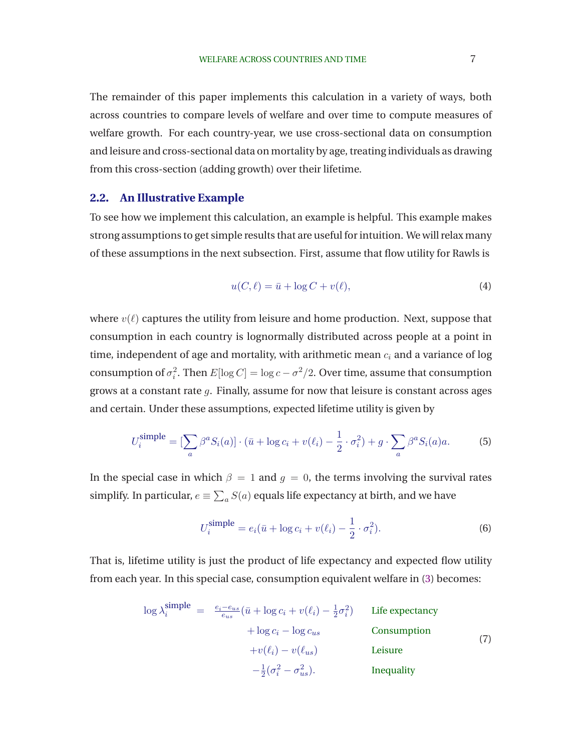<span id="page-7-0"></span>The remainder of this paper implements this calculation in a variety of ways, both across countries to compare levels of welfare and over time to compute measures of welfare growth. For each country-year, we use cross-sectional data on consumption and leisure and cross-sectional data on mortality by age, treating individuals as drawing from this cross-section (adding growth) over their lifetime.

### **2.2. An Illustrative Example**

To see how we implement this calculation, an example is helpful. This example makes strong assumptions to get simple results that are useful for intuition. We will relax many of these assumptions in the next subsection. First, assume that flow utility for Rawls is

$$
u(C, \ell) = \bar{u} + \log C + v(\ell),\tag{4}
$$

where  $v(\ell)$  captures the utility from leisure and home production. Next, suppose that consumption in each country is lognormally distributed across people at a point in time, independent of age and mortality, with arithmetic mean  $c_i$  and a variance of log consumption of  $\sigma_i^2$ . Then  $E[\log C] = \log c - \sigma^2/2$ . Over time, assume that consumption grows at a constant rate  $q$ . Finally, assume for now that leisure is constant across ages and certain. Under these assumptions, expected lifetime utility is given by

$$
U_i^{\text{simple}} = \left[\sum_a \beta^a S_i(a)\right] \cdot \left(\bar{u} + \log c_i + v(\ell_i) - \frac{1}{2} \cdot \sigma_i^2\right) + g \cdot \sum_a \beta^a S_i(a)a. \tag{5}
$$

In the special case in which  $\beta = 1$  and  $g = 0$ , the terms involving the survival rates simplify. In particular,  $e\equiv\sum_a S(a)$  equals life expectancy at birth, and we have

$$
U_i^{\text{simple}} = e_i(\bar{u} + \log c_i + v(\ell_i) - \frac{1}{2} \cdot \sigma_i^2). \tag{6}
$$

That is, lifetime utility is just the product of life expectancy and expected flow utility from each year. In this special case, consumption equivalent welfare in [\(3\)](#page-6-0) becomes:

$$
\log \lambda_i^{\text{simple}} = \frac{e_i - e_{us}}{e_{us}} (\bar{u} + \log c_i + v(\ell_i) - \frac{1}{2}\sigma_i^2) \quad \text{Life expectancy} \n+ \log c_i - \log c_{us} \quad \text{Consumption} \n+ v(\ell_i) - v(\ell_{us}) \quad \text{Leisure} \n- \frac{1}{2} (\sigma_i^2 - \sigma_{us}^2). \quad \text{Inequality}
$$
\n(7)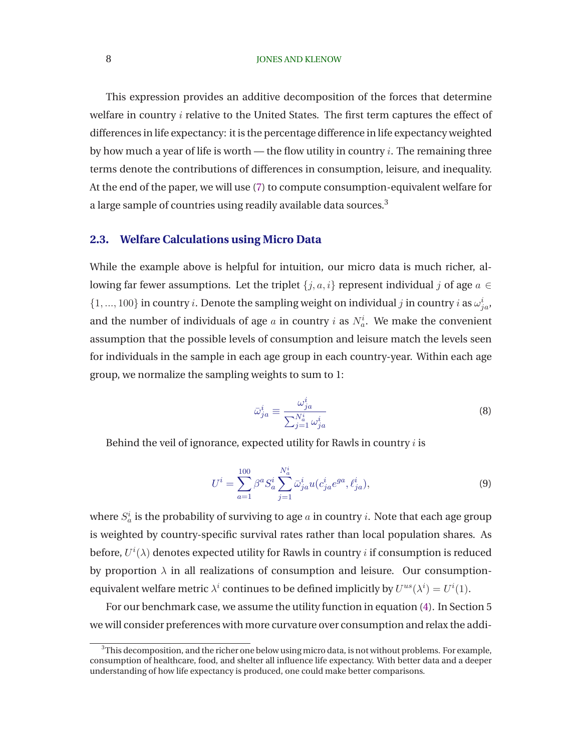### 8 **IONES AND KLENOW**

This expression provides an additive decomposition of the forces that determine welfare in country  $i$  relative to the United States. The first term captures the effect of differences in life expectancy: it is the percentage difference in life expectancy weighted by how much a year of life is worth — the flow utility in country  $i$ . The remaining three terms denote the contributions of differences in consumption, leisure, and inequality. At the end of the paper, we will use [\(7\)](#page-7-0) to compute consumption-equivalent welfare for a large sample of countries using readily available data sources.<sup>3</sup>

### **2.3. Welfare Calculations using Micro Data**

While the example above is helpful for intuition, our micro data is much richer, allowing far fewer assumptions. Let the triplet  $\{j, a, i\}$  represent individual j of age  $a \in$  $\{1,...,100\}$  in country *i*. Denote the sampling weight on individual *j* in country *i* as  $\omega_{ja}^i$ , and the number of individuals of age  $a$  in country  $i$  as  $N_a^i$ . We make the convenient assumption that the possible levels of consumption and leisure match the levels seen for individuals in the sample in each age group in each country-year. Within each age group, we normalize the sampling weights to sum to 1:

$$
\bar{\omega}_{ja}^{i} \equiv \frac{\omega_{ja}^{i}}{\sum_{j=1}^{N_a^{i}} \omega_{ja}^{i}}
$$
\n(8)

Behind the veil of ignorance, expected utility for Rawls in country  $i$  is

$$
U^{i} = \sum_{a=1}^{100} \beta^{a} S_{a}^{i} \sum_{j=1}^{N_{a}^{i}} \bar{\omega}_{ja}^{i} u(c_{ja}^{i} e^{ga}, \ell_{ja}^{i}),
$$
\n(9)

where  $S_a^i$  is the probability of surviving to age  $a$  in country  $i.$  Note that each age group is weighted by country-specific survival rates rather than local population shares. As before,  $U^i(\lambda)$  denotes expected utility for Rawls in country  $i$  if consumption is reduced by proportion  $\lambda$  in all realizations of consumption and leisure. Our consumptionequivalent welfare metric  $\lambda^i$  continues to be defined implicitly by  $U^{us}(\lambda^i) = U^i(1)$ .

For our benchmark case, we assume the utility function in equation [\(4\)](#page-7-0). In Section 5 we will consider preferences with more curvature over consumption and relax the addi-

 $3$ This decomposition, and the richer one below using micro data, is not without problems. For example, consumption of healthcare, food, and shelter all influence life expectancy. With better data and a deeper understanding of how life expectancy is produced, one could make better comparisons.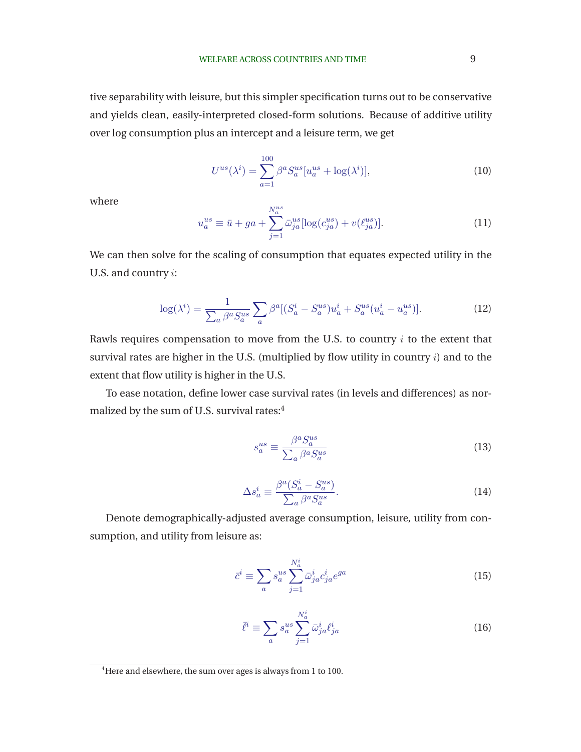<span id="page-9-0"></span>tive separability with leisure, but this simpler specification turns out to be conservative and yields clean, easily-interpreted closed-form solutions. Because of additive utility over log consumption plus an intercept and a leisure term, we get

$$
U^{us}(\lambda^i) = \sum_{a=1}^{100} \beta^a S_a^{us} [u_a^{us} + \log(\lambda^i)],
$$
 (10)

where

$$
u_a^{us} \equiv \bar{u} + ga + \sum_{j=1}^{N_a^{us}} \bar{\omega}_{ja}^{us} [\log(c_{ja}^{us}) + v(\ell_{ja}^{us})].
$$
 (11)

We can then solve for the scaling of consumption that equates expected utility in the U.S. and country i:

$$
\log(\lambda^i) = \frac{1}{\sum_a \beta^a S_a^{us}} \sum_a \beta^a [(S_a^i - S_a^{us}) u_a^i + S_a^{us} (u_a^i - u_a^{us})]. \tag{12}
$$

Rawls requires compensation to move from the U.S. to country  $i$  to the extent that survival rates are higher in the U.S. (multiplied by flow utility in country  $i$ ) and to the extent that flow utility is higher in the U.S.

To ease notation, define lower case survival rates (in levels and differences) as normalized by the sum of U.S. survival rates:<sup>4</sup>

$$
s_a^{us} \equiv \frac{\beta^a S_a^{us}}{\sum_a \beta^a S_a^{us}}\tag{13}
$$

$$
\Delta s_a^i \equiv \frac{\beta^a (S_a^i - S_a^{us})}{\sum_a \beta^a S_a^{us}}.
$$
\n(14)

Denote demographically-adjusted average consumption, leisure, utility from consumption, and utility from leisure as:

$$
\bar{c}^i \equiv \sum_a s_a^{us} \sum_{j=1}^{N_a^i} \bar{\omega}_{ja}^i c_{ja}^i e^{ga}
$$
 (15)

$$
\bar{\ell}^i \equiv \sum_a s_a^{us} \sum_{j=1}^{N_a^i} \bar{\omega}_{ja}^i \ell_{ja}^i \tag{16}
$$

<sup>&</sup>lt;sup>4</sup>Here and elsewhere, the sum over ages is always from 1 to 100.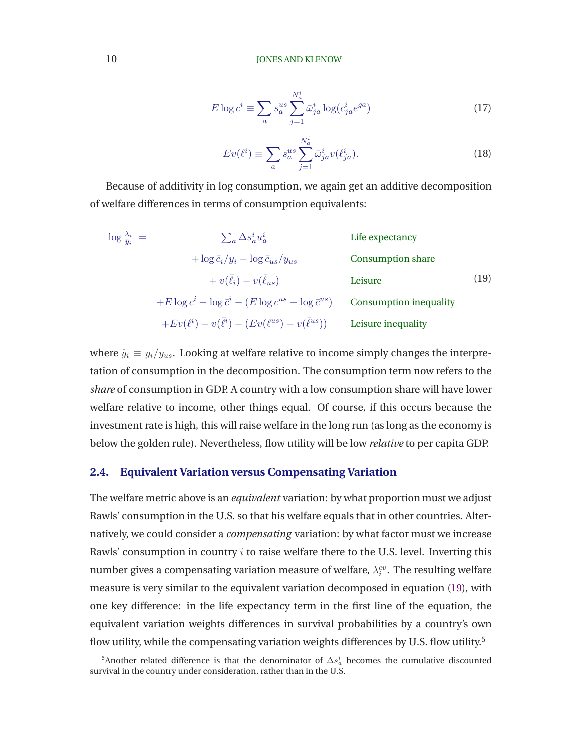$$
E \log c^i \equiv \sum_a s_a^{us} \sum_{j=1}^{N_a^i} \bar{\omega}_{ja}^i \log(c_{ja}^i e^{ga})
$$
 (17)

$$
Ev(\ell^i) \equiv \sum_a s_a^{us} \sum_{j=1}^{N_a^i} \bar{\omega}_{ja}^i v(\ell^i_{ja}).
$$
\n(18)

<span id="page-10-0"></span>Because of additivity in log consumption, we again get an additive decomposition of welfare differences in terms of consumption equivalents:

$$
\log \frac{\lambda_i}{\tilde{y}_i} = \sum_a \Delta s_a^i u_a^i
$$
Life expectancy  
+ 
$$
\log \bar{c}_i / y_i - \log \bar{c}_{us} / y_{us}
$$
 Consumption share  
+ 
$$
v(\bar{\ell}_i) - v(\bar{\ell}_{us})
$$
 Leisure Leisure  
+
$$
E \log c^i - \log \bar{c}^i - (E \log c^{us} - \log \bar{c}^{us})
$$
Consumption inequality  
+
$$
Ev(\ell^i) - v(\bar{\ell}^i) - (Ev(\ell^{us}) - v(\bar{\ell}^{us}))
$$
Leisure inequality

where  $\tilde{y}_i \equiv y_i/y_{us}$ . Looking at welfare relative to income simply changes the interpretation of consumption in the decomposition. The consumption term now refers to the *share* of consumption in GDP. A country with a low consumption share will have lower welfare relative to income, other things equal. Of course, if this occurs because the investment rate is high, this will raise welfare in the long run (as long as the economy is below the golden rule). Nevertheless, flow utility will be low *relative* to per capita GDP.

## **2.4. Equivalent Variation versus Compensating Variation**

The welfare metric above is an *equivalent* variation: by what proportion must we adjust Rawls' consumption in the U.S. so that his welfare equals that in other countries. Alternatively, we could consider a *compensating* variation: by what factor must we increase Rawls' consumption in country  $i$  to raise welfare there to the U.S. level. Inverting this number gives a compensating variation measure of welfare,  $\lambda_i^{cv}$ . The resulting welfare measure is very similar to the equivalent variation decomposed in equation (19), with one key difference: in the life expectancy term in the first line of the equation, the equivalent variation weights differences in survival probabilities by a country's own flow utility, while the compensating variation weights differences by U.S. flow utility.<sup>5</sup>

<sup>&</sup>lt;sup>5</sup>Another related difference is that the denominator of  $\Delta s_a^i$  becomes the cumulative discounted survival in the country under consideration, rather than in the U.S.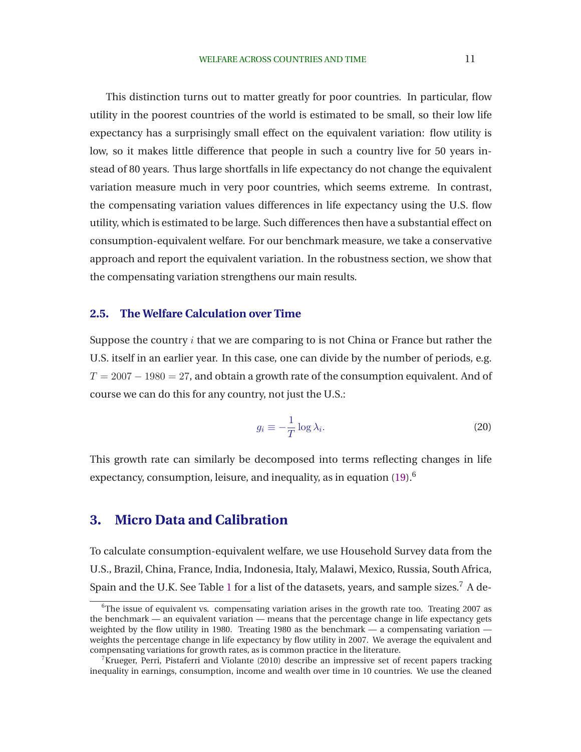<span id="page-11-0"></span>This distinction turns out to matter greatly for poor countries. In particular, flow utility in the poorest countries of the world is estimated to be small, so their low life expectancy has a surprisingly small effect on the equivalent variation: flow utility is low, so it makes little difference that people in such a country live for 50 years instead of 80 years. Thus large shortfalls in life expectancy do not change the equivalent variation measure much in very poor countries, which seems extreme. In contrast, the compensating variation values differences in life expectancy using the U.S. flow utility, which is estimated to be large. Such differences then have a substantial effect on consumption-equivalent welfare. For our benchmark measure, we take a conservative approach and report the equivalent variation. In the robustness section, we show that the compensating variation strengthens our main results.

## **2.5. The Welfare Calculation over Time**

Suppose the country  $i$  that we are comparing to is not China or France but rather the U.S. itself in an earlier year. In this case, one can divide by the number of periods, e.g.  $T = 2007 - 1980 = 27$ , and obtain a growth rate of the consumption equivalent. And of course we can do this for any country, not just the U.S.:

$$
g_i \equiv -\frac{1}{T} \log \lambda_i. \tag{20}
$$

This growth rate can similarly be decomposed into terms reflecting changes in life expectancy, consumption, leisure, and inequality, as in equation  $(19)^6$  $(19)^6$ .

# **3. Micro Data and Calibration**

To calculate consumption-equivalent welfare, we use Household Survey data from the U.S., Brazil, China, France, India, Indonesia, Italy, Malawi, Mexico, Russia, South Africa, Spain and the U.K. See Table [1](#page-12-0) for a list of the datasets, years, and sample sizes.<sup>7</sup> A de-

 $6$ The issue of equivalent vs. compensating variation arises in the growth rate too. Treating 2007 as the benchmark — an equivalent variation — means that the percentage change in life expectancy gets weighted by the flow utility in 1980. Treating 1980 as the benchmark — a compensating variation weights the percentage change in life expectancy by flow utility in 2007. We average the equivalent and compensating variations for growth rates, as is common practice in the literature.

 $7$ [Krueger, Perri, Pistaferri and Violante \(2010](#page-39-0)) describe an impressive set of recent papers tracking inequality in earnings, consumption, income and wealth over time in 10 countries. We use the cleaned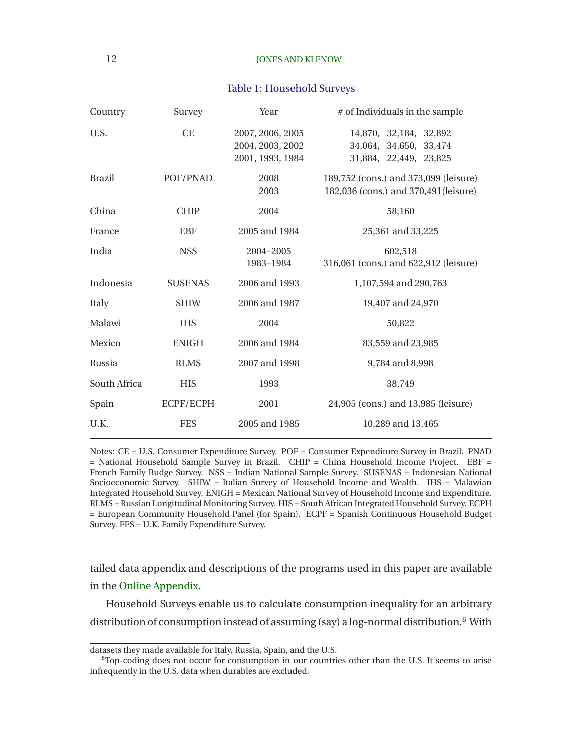<span id="page-12-0"></span>

| Country       | Survey         | Year                                                     | $#$ of Individuals in the sample                                               |
|---------------|----------------|----------------------------------------------------------|--------------------------------------------------------------------------------|
| U.S.          | <b>CE</b>      | 2007, 2006, 2005<br>2004, 2003, 2002<br>2001, 1993, 1984 | 14,870, 32,184, 32,892<br>34,064, 34,650, 33,474<br>31,884, 22,449, 23,825     |
| <b>Brazil</b> | POF/PNAD       | 2008<br>2003                                             | 189,752 (cons.) and 373,099 (leisure)<br>182,036 (cons.) and 370,491 (leisure) |
| China         | <b>CHIP</b>    | 2004                                                     | 58,160                                                                         |
| France        | <b>EBF</b>     | 2005 and 1984                                            | 25,361 and 33,225                                                              |
| India         | <b>NSS</b>     | 2004-2005<br>1983-1984                                   | 602,518<br>316,061 (cons.) and 622,912 (leisure)                               |
| Indonesia     | <b>SUSENAS</b> | 2006 and 1993                                            | 1,107,594 and 290,763                                                          |
| Italy         | <b>SHIW</b>    | 2006 and 1987                                            | 19,407 and 24,970                                                              |
| Malawi        | <b>IHS</b>     | 2004                                                     | 50,822                                                                         |
| Mexico        | <b>ENIGH</b>   | 2006 and 1984                                            | 83,559 and 23,985                                                              |
| Russia        | <b>RLMS</b>    | 2007 and 1998                                            | 9,784 and 8,998                                                                |
| South Africa  | <b>HIS</b>     | 1993                                                     | 38,749                                                                         |
| Spain         | ECPF/ECPH      | 2001                                                     | 24,905 (cons.) and 13,985 (leisure)                                            |
| U.K.          | <b>FES</b>     | 2005 and 1985                                            | 10,289 and 13,465                                                              |

### Table 1: Household Surveys

Notes: CE = U.S. Consumer Expenditure Survey. POF = Consumer Expenditure Survey in Brazil. PNAD  $=$  National Household Sample Survey in Brazil. CHIP  $=$  China Household Income Project. EBF  $=$ French Family Budge Survey. NSS = Indian National Sample Survey. SUSENAS = Indonesian National Socioeconomic Survey. SHIW = Italian Survey of Household Income and Wealth. IHS = Malawian Integrated Household Survey. ENIGH = Mexican National Survey of Household Income and Expenditure. RLMS = Russian Longitudinal Monitoring Survey. HIS = South African Integrated Household Survey. ECPH = European Community Household Panel (for Spain). ECPF = Spanish Continuous Household Budget Survey. FES = U.K. Family Expenditure Survey.

tailed data appendix and descriptions of the programs used in this paper are available in the [Online Appendix.](http://www.stanford.edu/~chadj/BeyondGDP-OnlineAppendix.pdf)

Household Surveys enable us to calculate consumption inequality for an arbitrary distribution of consumption instead of assuming (say) a log-normal distribution.<sup>8</sup> With

datasets they made available for Italy, Russia, Spain, and the U.S.

<sup>&</sup>lt;sup>8</sup>Top-coding does not occur for consumption in our countries other than the U.S. It seems to arise infrequently in the U.S. data when durables are excluded.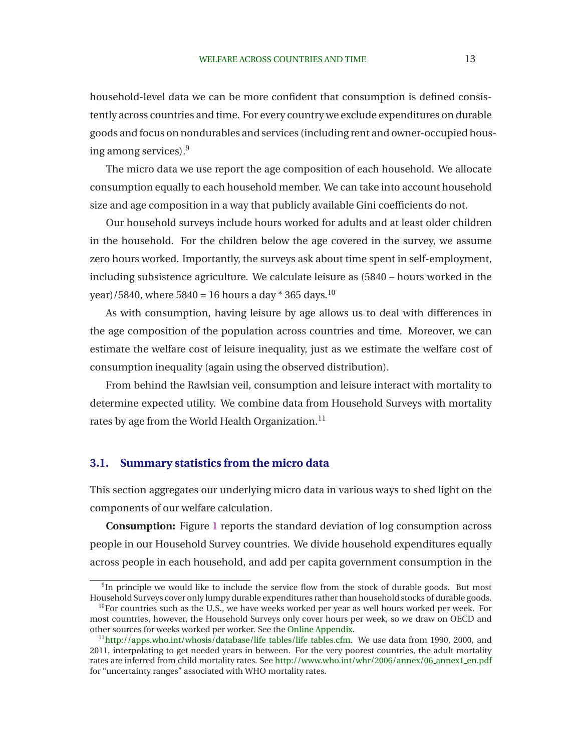household-level data we can be more confident that consumption is defined consistently across countries and time. For every country we exclude expenditures on durable goods and focus on nondurables and services (including rent and owner-occupied housing among services).<sup>9</sup>

The micro data we use report the age composition of each household. We allocate consumption equally to each household member. We can take into account household size and age composition in a way that publicly available Gini coefficients do not.

Our household surveys include hours worked for adults and at least older children in the household. For the children below the age covered in the survey, we assume zero hours worked. Importantly, the surveys ask about time spent in self-employment, including subsistence agriculture. We calculate leisure as (5840 – hours worked in the year)/5840, where 5840 = 16 hours a day  $*$  365 days.<sup>10</sup>

As with consumption, having leisure by age allows us to deal with differences in the age composition of the population across countries and time. Moreover, we can estimate the welfare cost of leisure inequality, just as we estimate the welfare cost of consumption inequality (again using the observed distribution).

From behind the Rawlsian veil, consumption and leisure interact with mortality to determine expected utility. We combine data from Household Surveys with mortality rates by age from the World Health Organization.<sup>11</sup>

## **3.1. Summary statistics from the micro data**

This section aggregates our underlying micro data in various ways to shed light on the components of our welfare calculation.

**Consumption:** Figure [1](#page-14-0) reports the standard deviation of log consumption across people in our Household Survey countries. We divide household expenditures equally across people in each household, and add per capita government consumption in the

<sup>&</sup>lt;sup>9</sup>In principle we would like to include the service flow from the stock of durable goods. But most Household Surveys cover only lumpy durable expenditures rather than household stocks of durable goods.

 $10$ For countries such as the U.S., we have weeks worked per year as well hours worked per week. For most countries, however, the Household Surveys only cover hours per week, so we draw on OECD and other sources for weeks worked per worker. See the [Online Appendix.](http://www.stanford.edu/~chadj/BeyondGDP-OnlineAppendix.pdf)

<sup>&</sup>lt;sup>11</sup>[http://apps.who.int/whosis/database/life](http://apps.who.int/whosis/database/life_tables/life_tables.cfm)\_tables/life\_tables.cfm. We use data from 1990, 2000, and 2011, interpolating to get needed years in between. For the very poorest countries, the adult mortality rates are inferred from child mortality rates. See [http://www.who.int/whr/2006/annex/06](http://www.who.int/whr/2006/annex/06_annex1_en.pdf) annex1 en.pdf for "uncertainty ranges" associated with WHO mortality rates.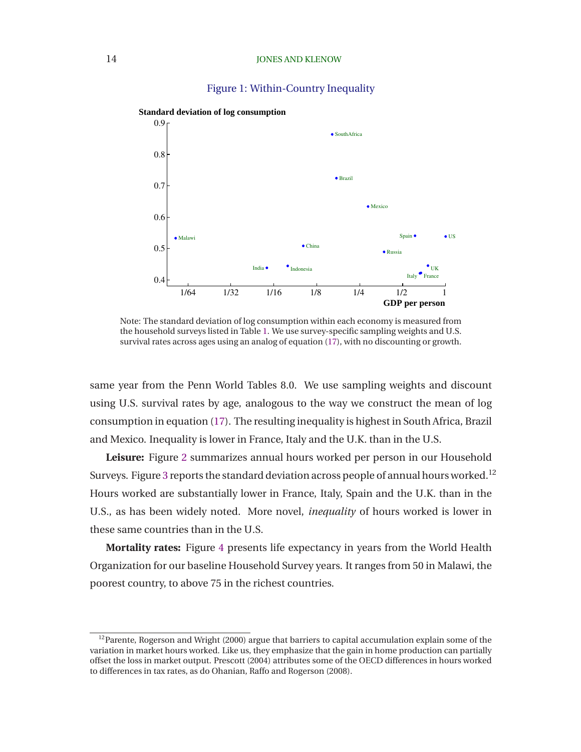## Figure 1: Within-Country Inequality



<span id="page-14-0"></span> **Standard deviation of log consumption**

Note: The standard deviation of log consumption within each economy is measured from the household surveys listed in Table [1.](#page-12-0) We use survey-specific sampling weights and U.S. survival rates across ages using an analog of equation [\(17\)](#page-10-0), with no discounting or growth.

same year from the Penn World Tables 8.0. We use sampling weights and discount using U.S. survival rates by age, analogous to the way we construct the mean of log consumption in equation [\(17\)](#page-10-0). The resulting inequality is highest in South Africa, Brazil and Mexico. Inequality is lower in France, Italy and the U.K. than in the U.S.

**Leisure:** Figure [2](#page-15-0) summarizes annual hours worked per person in our Household Surveys. Figure [3](#page-15-0) reports the standard deviation across people of annual hours worked.<sup>12</sup> Hours worked are substantially lower in France, Italy, Spain and the U.K. than in the U.S., as has been widely noted. More novel, *inequality* of hours worked is lower in these same countries than in the U.S.

**Mortality rates:** Figure [4](#page-16-0) presents life expectancy in years from the World Health Organization for our baseline Household Survey years. It ranges from 50 in Malawi, the poorest country, to above 75 in the richest countries.

 $12$ [Parente, Rogerson and Wright \(2000](#page-40-0)) argue that barriers to capital accumulation explain some of the variation in market hours worked. Like us, they emphasize that the gain in home production can partially offset the loss in market output. [Prescott](#page-40-0) [\(2004](#page-40-0)) attributes some of the OECD differences in hours worked to differences in tax rates, as do [Ohanian, Raffo and Rogerson](#page-40-0) [\(2008\)](#page-40-0).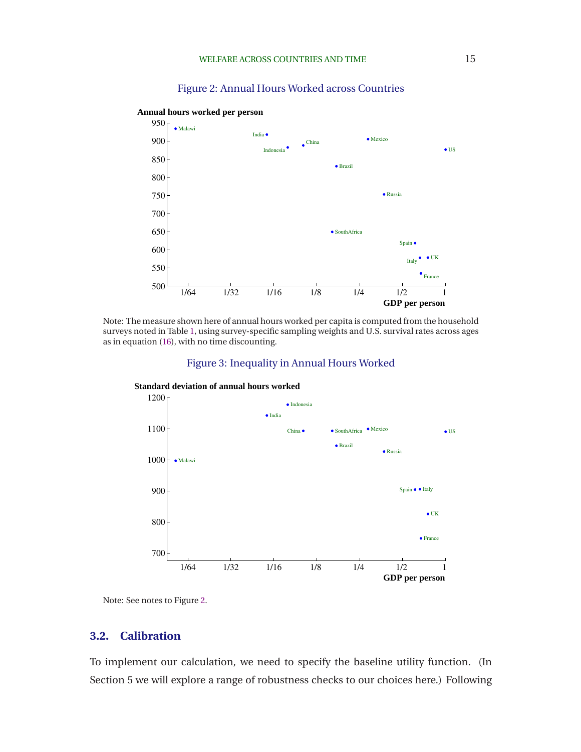## Figure 2: Annual Hours Worked across Countries

1/64 1/32 1/16 1/8 1/4 1/2 1 500 550 600 650 700 750 800 850 900 950 **•** Brazil China Spain ( <sup>•</sup> France  $\bullet$  UK Indonesia India Italy • Mexico ● Malawi **•** Russia  $\bullet$  US ● SouthAfrica **GDP per person**

<span id="page-15-0"></span> **Annual hours worked per person**

Note: The measure shown here of annual hours worked per capita is computed from the household surveys noted in Table [1,](#page-12-0) using survey-specific sampling weights and U.S. survival rates across ages as in equation [\(16\)](#page-9-0), with no time discounting.







Note: See notes to Figure 2.

## **3.2. Calibration**

To implement our calculation, we need to specify the baseline utility function. (In Section 5 we will explore a range of robustness checks to our choices here.) Following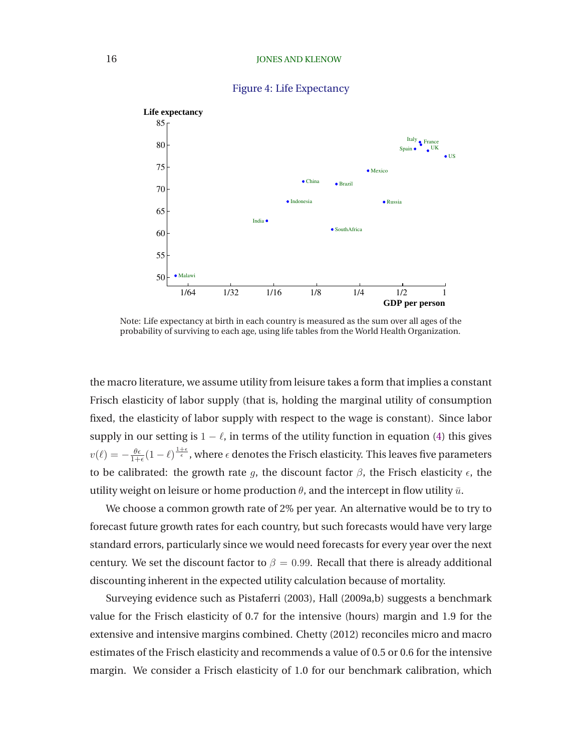<span id="page-16-0"></span>

### Figure 4: Life Expectancy

Note: Life expectancy at birth in each country is measured as the sum over all ages of the probability of surviving to each age, using life tables from the World Health Organization.

the macro literature, we assume utility from leisure takes a form that implies a constant Frisch elasticity of labor supply (that is, holding the marginal utility of consumption fixed, the elasticity of labor supply with respect to the wage is constant). Since labor supply in our setting is  $1 - \ell$ , in terms of the utility function in equation [\(4\)](#page-7-0) this gives  $v(\ell)=-\frac{\theta\epsilon}{1+\epsilon}(1-\ell)^{\frac{1+\epsilon}{\epsilon}}$ , where  $\epsilon$  denotes the Frisch elasticity. This leaves five parameters to be calibrated: the growth rate g, the discount factor  $\beta$ , the Frisch elasticity  $\epsilon$ , the utility weight on leisure or home production  $\theta$ , and the intercept in flow utility  $\bar{u}$ .

We choose a common growth rate of 2% per year. An alternative would be to try to forecast future growth rates for each country, but such forecasts would have very large standard errors, particularly since we would need forecasts for every year over the next century. We set the discount factor to  $\beta = 0.99$ . Recall that there is already additional discounting inherent in the expected utility calculation because of mortality.

Surveying evidence such as [Pistaferri](#page-40-0) [\(2003\)](#page-40-0), [Hall](#page-39-0) [\(2009a,b](#page-39-0)) suggests a benchmark value for the Frisch elasticity of 0.7 for the intensive (hours) margin and 1.9 for the extensive and intensive margins combined. [Chetty](#page-39-0) [\(2012](#page-39-0)) reconciles micro and macro estimates of the Frisch elasticity and recommends a value of 0.5 or 0.6 for the intensive margin. We consider a Frisch elasticity of 1.0 for our benchmark calibration, which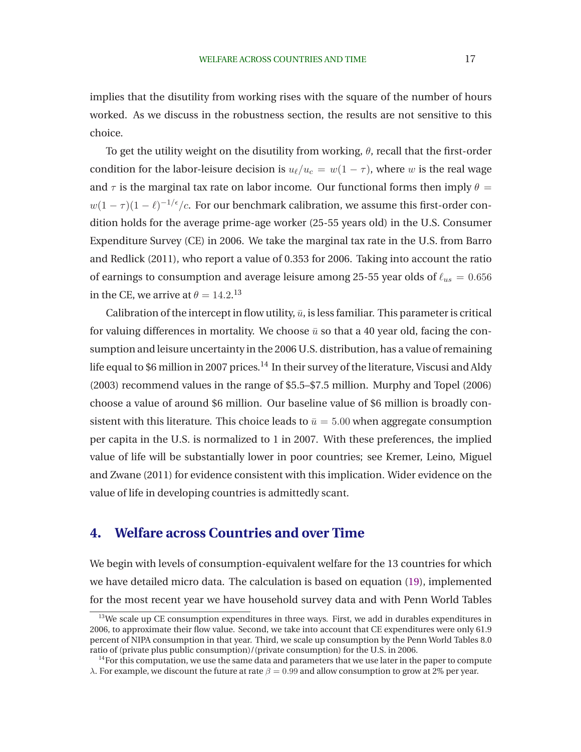implies that the disutility from working rises with the square of the number of hours worked. As we discuss in the robustness section, the results are not sensitive to this choice.

To get the utility weight on the disutility from working,  $\theta$ , recall that the first-order condition for the labor-leisure decision is  $u_{\ell}/u_c = w(1 - \tau)$ , where w is the real wage and  $\tau$  is the marginal tax rate on labor income. Our functional forms then imply  $\theta =$  $w(1-\tau)(1-\ell)^{-1/\epsilon}/c$ . For our benchmark calibration, we assume this first-order condition holds for the average prime-age worker (25-55 years old) in the U.S. Consumer Expenditur[e Survey \(CE\) in 2006. We take the marginal tax rate in the U.S. from](#page-38-0) Barro and Redlick [\(2011](#page-38-0)), who report a value of 0.353 for 2006. Taking into account the ratio of earnings to consumption and average leisure among 25-55 year olds of  $\ell_{us} = 0.656$ in the CE, we arrive at  $\theta = 14.2$ <sup>13</sup>

Calibration of the intercept in flow utility,  $\bar{u}$ , is less familiar. This parameter is critical for valuing differences in mortality. We choose  $\bar{u}$  so that a 40 year old, facing the consumption and leisure uncertainty in the 2006 U.S. distribution, has a value of remaining life equal to \$6 million in 2007 prices.<sup>14</sup> In their survey of the literature, [Viscusi and Aldy](#page-40-0) [\(2003\)](#page-40-0) recommend values in the range of \$5.5–\$7.5 million. [Murphy and Topel](#page-39-0) [\(2006\)](#page-39-0) choose a value of around \$6 million. Our baseline value of \$6 million is broadly consistent with this literature. This choice leads to  $\bar{u} = 5.00$  when aggregate consumption per capita in the U.S. is normalized to 1 in 2007. With these preferences, the implied value of lif[e will be substantially lower in poor countries; see](#page-39-0) Kremer, Leino, Miguel and Zwane [\(2011\)](#page-39-0) for evidence consistent with this implication. Wider evidence on the value of life in developing countries is admittedly scant.

# **4. Welfare across Countries and over Time**

We begin with levels of consumption-equivalent welfare for the 13 countries for which we have detailed micro data. The calculation is based on equation [\(19\)](#page-10-0), implemented for the most recent year we have household survey data and with Penn World Tables

 $13$ We scale up CE consumption expenditures in three ways. First, we add in durables expenditures in 2006, to approximate their flow value. Second, we take into account that CE expenditures were only 61.9 percent of NIPA consumption in that year. Third, we scale up consumption by the Penn World Tables 8.0 ratio of (private plus public consumption)/(private consumption) for the U.S. in 2006.

 $<sup>14</sup>$  For this computation, we use the same data and parameters that we use later in the paper to compute</sup> λ. For example, we discount the future at rate  $β = 0.99$  and allow consumption to grow at 2% per year.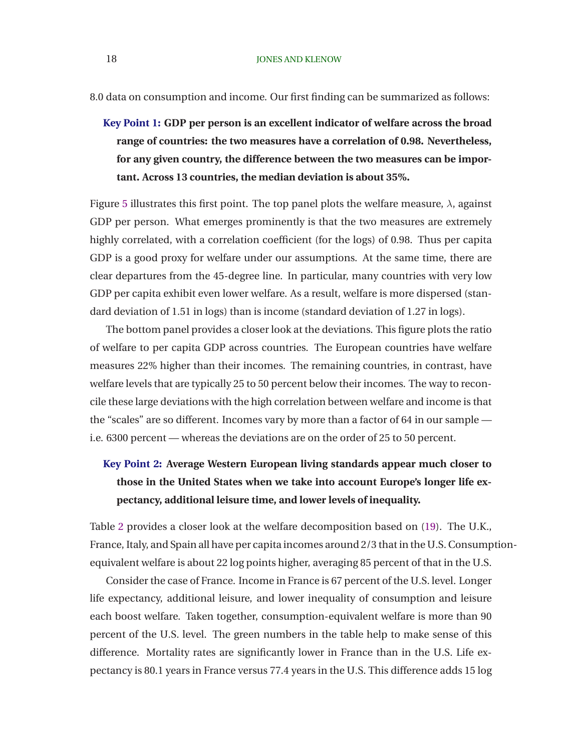8.0 data on consumption and income. Our first finding can be summarized as follows:

**Key Point 1: GDP per person is an excellent indicator of welfare across the broad range of countries: the two measures have a correlation of 0.98. Nevertheless, for any given country, the difference between the two measures can be important. Across 13 countries, the median deviation is about 35%.**

Figure [5](#page-19-0) illustrates this first point. The top panel plots the welfare measure,  $\lambda$ , against GDP per person. What emerges prominently is that the two measures are extremely highly correlated, with a correlation coefficient (for the logs) of 0.98. Thus per capita GDP is a good proxy for welfare under our assumptions. At the same time, there are clear departures from the 45-degree line. In particular, many countries with very low GDP per capita exhibit even lower welfare. As a result, welfare is more dispersed (standard deviation of 1.51 in logs) than is income (standard deviation of 1.27 in logs).

The bottom panel provides a closer look at the deviations. This figure plots the ratio of welfare to per capita GDP across countries. The European countries have welfare measures 22% higher than their incomes. The remaining countries, in contrast, have welfare levels that are typically 25 to 50 percent below their incomes. The way to reconcile these large deviations with the high correlation between welfare and income is that the "scales" are so different. Incomes vary by more than a factor of 64 in our sample i.e. 6300 percent — whereas the deviations are on the order of 25 to 50 percent.

# **Key Point 2: Average Western European living standards appear much closer to those in the United States when we take into account Europe's longer life expectancy, additional leisure time, and lower levels of inequality.**

Table [2](#page-20-0) provides a closer look at the welfare decomposition based on [\(19\)](#page-10-0). The U.K., France, Italy, and Spain all have per capita incomes around 2/3 that in the U.S. Consumptionequivalent welfare is about 22 log points higher, averaging 85 percent of that in the U.S.

Consider the case of France. Income in France is 67 percent of the U.S. level. Longer life expectancy, additional leisure, and lower inequality of consumption and leisure each boost welfare. Taken together, consumption-equivalent welfare is more than 90 percent of the U.S. level. The green numbers in the table help to make sense of this difference. Mortality rates are significantly lower in France than in the U.S. Life expectancy is 80.1 years in France versus 77.4 years in the U.S. This difference adds 15 log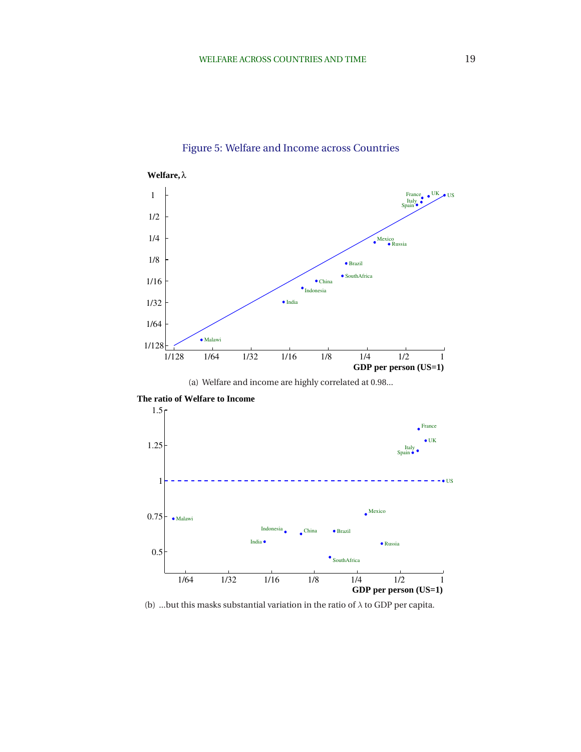<span id="page-19-0"></span>

# Figure 5: Welfare and Income across Countries

(a) Welfare and income are highly correlated at 0.98...



 **The ratio of Welfare to Income**

(b) ...but this masks substantial variation in the ratio of  $\lambda$  to GDP per capita.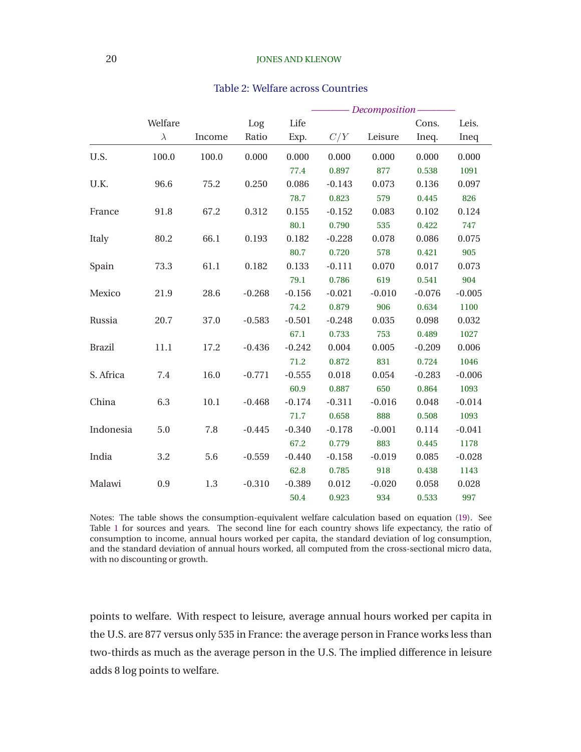### <span id="page-20-0"></span>20 JONES AND KLENOW

### Table 2: Welfare across Countries

|               |           |          |          |          |          | - Decomposition- |          |          |  |
|---------------|-----------|----------|----------|----------|----------|------------------|----------|----------|--|
|               | Welfare   |          | Log      | Life     |          |                  | Cons.    | Leis.    |  |
|               | $\lambda$ | Income   | Ratio    | Exp.     | C/Y      | Leisure          | Ineq.    | Ineq     |  |
| U.S.          | 100.0     | 100.0    | 0.000    | 0.000    | 0.000    | 0.000            | 0.000    | 0.000    |  |
|               |           |          |          | 77.4     | 0.897    | 877              | 0.538    | 1091     |  |
| U.K.          | 96.6      | 75.2     | 0.250    | 0.086    | $-0.143$ | 0.073            | 0.136    | 0.097    |  |
|               |           |          |          | 78.7     | 0.823    | 579              | 0.445    | 826      |  |
| France        | 91.8      | 67.2     | 0.312    | 0.155    | $-0.152$ | 0.083            | 0.102    | 0.124    |  |
|               |           |          |          | 80.1     | 0.790    | 535              | 0.422    | 747      |  |
| Italy         | 80.2      | 66.1     | 0.193    | 0.182    | $-0.228$ | 0.078            | 0.086    | 0.075    |  |
|               |           |          |          | 80.7     | 0.720    | 578              | 0.421    | 905      |  |
| Spain         | 73.3      | 61.1     | 0.182    | 0.133    | $-0.111$ | 0.070            | 0.017    | 0.073    |  |
|               |           |          |          | 79.1     | 0.786    | 619              | 0.541    | 904      |  |
| Mexico        | 21.9      | 28.6     | $-0.268$ | $-0.156$ | $-0.021$ | $-0.010$         | $-0.076$ | $-0.005$ |  |
|               |           |          |          | 74.2     | 0.879    | 906              | 0.634    | 1100     |  |
| Russia        | 20.7      | 37.0     | $-0.583$ | $-0.501$ | $-0.248$ | 0.035            | 0.098    | 0.032    |  |
|               |           |          |          | 67.1     | 0.733    | 753              | 0.489    | 1027     |  |
| <b>Brazil</b> | 11.1      | 17.2     | $-0.436$ | $-0.242$ | 0.004    | 0.005            | $-0.209$ | 0.006    |  |
|               |           |          |          | 71.2     | 0.872    | 831              | 0.724    | 1046     |  |
| S. Africa     | 7.4       | 16.0     | $-0.771$ | $-0.555$ | 0.018    | 0.054            | $-0.283$ | $-0.006$ |  |
|               |           |          |          | 60.9     | 0.887    | 650              | 0.864    | 1093     |  |
| China         | 6.3       | $10.1\,$ | $-0.468$ | $-0.174$ | $-0.311$ | $-0.016$         | 0.048    | $-0.014$ |  |
|               |           |          |          | 71.7     | 0.658    | 888              | 0.508    | 1093     |  |
| Indonesia     | 5.0       | 7.8      | $-0.445$ | $-0.340$ | $-0.178$ | $-0.001$         | 0.114    | $-0.041$ |  |
|               |           |          |          | 67.2     | 0.779    | 883              | 0.445    | 1178     |  |
| India         | 3.2       | 5.6      | $-0.559$ | $-0.440$ | $-0.158$ | $-0.019$         | 0.085    | $-0.028$ |  |
|               |           |          |          | 62.8     | 0.785    | 918              | 0.438    | 1143     |  |
| Malawi        | 0.9       | 1.3      | $-0.310$ | $-0.389$ | 0.012    | $-0.020$         | 0.058    | 0.028    |  |
|               |           |          |          | 50.4     | 0.923    | 934              | 0.533    | 997      |  |

Notes: The table shows the consumption-equivalent welfare calculation based on equation [\(19\)](#page-10-0). See Table [1](#page-12-0) for sources and years. The second line for each country shows life expectancy, the ratio of consumption to income, annual hours worked per capita, the standard deviation of log consumption, and the standard deviation of annual hours worked, all computed from the cross-sectional micro data, with no discounting or growth.

points to welfare. With respect to leisure, average annual hours worked per capita in the U.S. are 877 versus only 535 in France: the average person in France works less than two-thirds as much as the average person in the U.S. The implied difference in leisure adds 8 log points to welfare.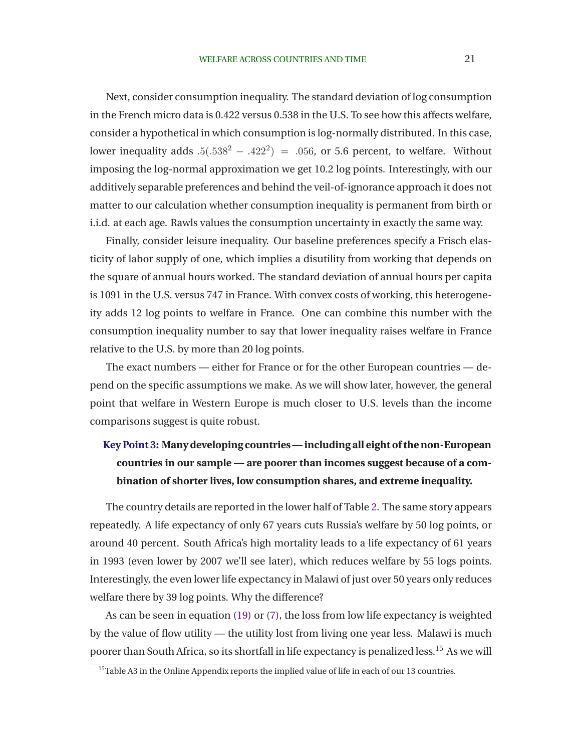Next, consider consumption inequality. The standard deviation of log consumption in the French micro data is 0.422 versus 0.538 in the U.S. To see how this affects welfare, consider a hypothetical in which consumption is log-normally distributed. In this case, lower inequality adds  $.5(.538<sup>2</sup> - .422<sup>2</sup>) = .056$ , or 5.6 percent, to welfare. Without imposing the log-normal approximation we get 10.2 log points. Interestingly, with our additively separable preferences and behind the veil-of-ignorance approach it does not matter to our calculation whether consumption inequality is permanent from birth or i.i.d. at each age. Rawls values the consumption uncertainty in exactly the same way.

Finally, consider leisure inequality. Our baseline preferences specify a Frisch elasticity of labor supply of one, which implies a disutility from working that depends on the square of annual hours worked. The standard deviation of annual hours per capita is 1091 in the U.S. versus 747 in France. With convex costs of working, this heterogeneity adds 12 log points to welfare in France. One can combine this number with the consumption inequality number to say that lower inequality raises welfare in France relative to the U.S. by more than 20 log points.

The exact numbers — either for France or for the other European countries — depend on the specific assumptions we make. As we will show later, however, the general point that welfare in Western Europe is much closer to U.S. levels than the income comparisons suggest is quite robust.

# **Key Point 3: Many developing countries— including all eight of the non-European countries in our sample — are poorer than incomes suggest because of a combination of shorter lives, low consumption shares, and extreme inequality.**

The country details are reported in the lower half of Table [2.](#page-20-0) The same story appears repeatedly. A life expectancy of only 67 years cuts Russia's welfare by 50 log points, or around 40 percent. South Africa's high mortality leads to a life expectancy of 61 years in 1993 (even lower by 2007 we'll see later), which reduces welfare by 55 logs points. Interestingly, the even lower life expectancy in Malawi of just over 50 years only reduces welfare there by 39 log points. Why the difference?

As can be seen in equation [\(19\)](#page-10-0) or [\(7\)](#page-7-0), the loss from low life expectancy is weighted by the value of flow utility — the utility lost from living one year less. Malawi is much poorer than South Africa, so its shortfall in life expectancy is penalized less.<sup>15</sup> As we will

<sup>&</sup>lt;sup>15</sup>Table A3 in the Online Appendix reports the implied value of life in each of our 13 countries.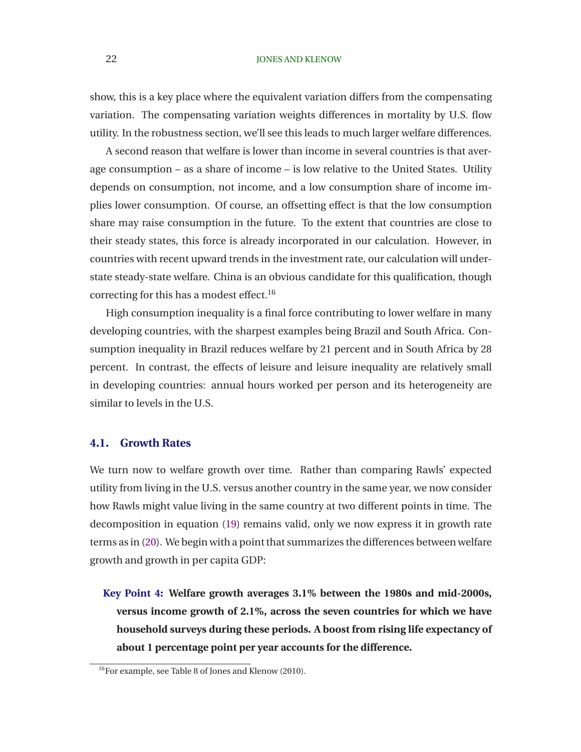### 22 JONES AND KLENOW

show, this is a key place where the equivalent variation differs from the compensating variation. The compensating variation weights differences in mortality by U.S. flow utility. In the robustness section, we'll see this leads to much larger welfare differences.

A second reason that welfare is lower than income in several countries is that average consumption – as a share of income – is low relative to the United States. Utility depends on consumption, not income, and a low consumption share of income implies lower consumption. Of course, an offsetting effect is that the low consumption share may raise consumption in the future. To the extent that countries are close to their steady states, this force is already incorporated in our calculation. However, in countries with recent upward trends in the investment rate, our calculation will understate steady-state welfare. China is an obvious candidate for this qualification, though correcting for this has a modest effect.<sup>16</sup>

High consumption inequality is a final force contributing to lower welfare in many developing countries, with the sharpest examples being Brazil and South Africa. Consumption inequality in Brazil reduces welfare by 21 percent and in South Africa by 28 percent. In contrast, the effects of leisure and leisure inequality are relatively small in developing countries: annual hours worked per person and its heterogeneity are similar to levels in the U.S.

## **4.1. Growth Rates**

We turn now to welfare growth over time. Rather than comparing Rawls' expected utility from living in the U.S. versus another country in the same year, we now consider how Rawls might value living in the same country at two different points in time. The decomposition in equation [\(19\)](#page-10-0) remains valid, only we now express it in growth rate terms as in [\(20\)](#page-11-0). We begin with a point that summarizes the differences between welfare growth and growth in per capita GDP:

**Key Point 4: Welfare growth averages 3.1% between the 1980s and mid-2000s, versus income growth of 2.1%, across the seven countries for which we have household surveys during these periods. A boost from rising life expectancy of about 1 percentage point per year accounts for the difference.**

<sup>16</sup>For example, see Table 8 of [Jones and Klenow](#page-39-0) [\(2010](#page-39-0)).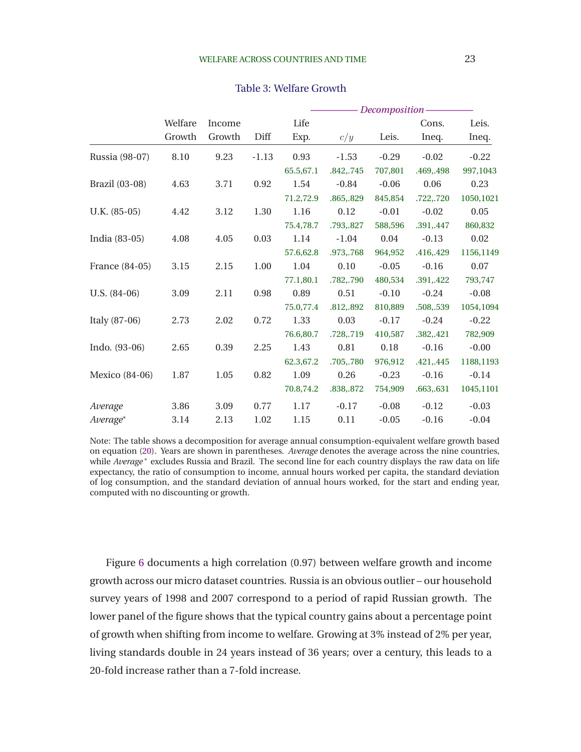<span id="page-23-0"></span>

|                 |         |        |          |           |           | - Decomposition - |           |           |
|-----------------|---------|--------|----------|-----------|-----------|-------------------|-----------|-----------|
|                 | Welfare | Income |          | Life      |           |                   | Cons.     | Leis.     |
|                 | Growth  | Growth | Diff     | Exp.      | c/y       | Leis.             | Ineq.     | Ineq.     |
| Russia (98-07)  | 8.10    | 9.23   | $-1.13$  | 0.93      | $-1.53$   | $-0.29$           | $-0.02$   | $-0.22$   |
|                 |         |        |          | 65.5,67.1 | .842,.745 | 707,801           | .469,.498 | 997,1043  |
| Brazil (03-08)  | 4.63    | 3.71   | 0.92     | 1.54      | $-0.84$   | $-0.06$           | 0.06      | 0.23      |
|                 |         |        |          | 71.2,72.9 | .865,.829 | 845,854           | .722,.720 | 1050,1021 |
| $U.K. (85-05)$  | 4.42    | 3.12   | 1.30     | 1.16      | 0.12      | $-0.01$           | $-0.02$   | 0.05      |
|                 |         |        |          | 75.4,78.7 | .793,.827 | 588,596           | .391,.447 | 860,832   |
| India (83-05)   | 4.08    | 4.05   | $0.03\,$ | 1.14      | $-1.04$   | 0.04              | $-0.13$   | 0.02      |
|                 |         |        |          | 57.6,62.8 | .973,.768 | 964,952           | .416,.429 | 1156,1149 |
| France (84-05)  | 3.15    | 2.15   | 1.00     | 1.04      | 0.10      | $-0.05$           | $-0.16$   | 0.07      |
|                 |         |        |          | 77.1,80.1 | .782,.790 | 480,534           | .391,.422 | 793,747   |
| $U.S. (84-06)$  | 3.09    | 2.11   | 0.98     | 0.89      | 0.51      | $-0.10$           | $-0.24$   | $-0.08$   |
|                 |         |        |          | 75.0,77.4 | .812,.892 | 810,889           | .508,.539 | 1054,1094 |
| Italy (87-06)   | 2.73    | 2.02   | 0.72     | 1.33      | 0.03      | $-0.17$           | $-0.24$   | $-0.22$   |
|                 |         |        |          | 76.6,80.7 | .728,.719 | 410,587           | .382,.421 | 782,909   |
| Indo. $(93-06)$ | 2.65    | 0.39   | 2.25     | 1.43      | 0.81      | 0.18              | $-0.16$   | $-0.00$   |
|                 |         |        |          | 62.3,67.2 | .705,.780 | 976,912           | .421,.445 | 1188,1193 |
| Mexico (84-06)  | 1.87    | 1.05   | 0.82     | 1.09      | 0.26      | $-0.23$           | $-0.16$   | $-0.14$   |
|                 |         |        |          | 70.8,74.2 | .838,.872 | 754,909           | .663,.631 | 1045,1101 |
| Average         | 3.86    | 3.09   | 0.77     | 1.17      | $-0.17$   | $-0.08$           | $-0.12$   | $-0.03$   |
| $Average^*$     | 3.14    | 2.13   | 1.02     | 1.15      | 0.11      | $-0.05$           | $-0.16$   | $-0.04$   |

#### Table 3: Welfare Growth

Note: The table shows a decomposition for average annual consumption-equivalent welfare growth based on equation [\(20\)](#page-11-0). Years are shown in parentheses. *Average* denotes the average across the nine countries, while Average<sup>\*</sup> excludes Russia and Brazil. The second line for each country displays the raw data on life expectancy, the ratio of consumption to income, annual hours worked per capita, the standard deviation of log consumption, and the standard deviation of annual hours worked, for the start and ending year, computed with no discounting or growth.

Figure [6](#page-24-0) documents a high correlation (0.97) between welfare growth and income growth across our micro dataset countries. Russia is an obvious outlier – our household survey years of 1998 and 2007 correspond to a period of rapid Russian growth. The lower panel of the figure shows that the typical country gains about a percentage point of growth when shifting from income to welfare. Growing at 3% instead of 2% per year, living standards double in 24 years instead of 36 years; over a century, this leads to a 20-fold increase rather than a 7-fold increase.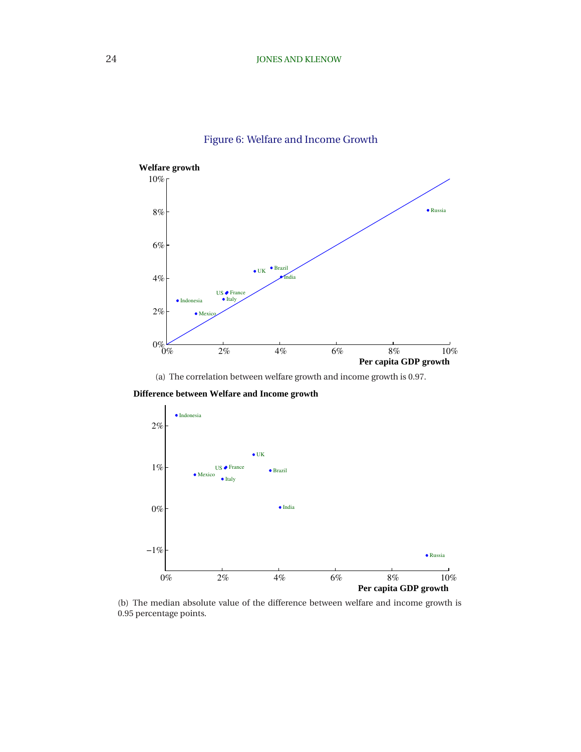<span id="page-24-0"></span>

# Figure 6: Welfare and Income Growth

(a) The correlation between welfare growth and income growth is 0.97.

 **Difference between Welfare and Income growth**



(b) The median absolute value of the difference between welfare and income growth is 0.95 percentage points.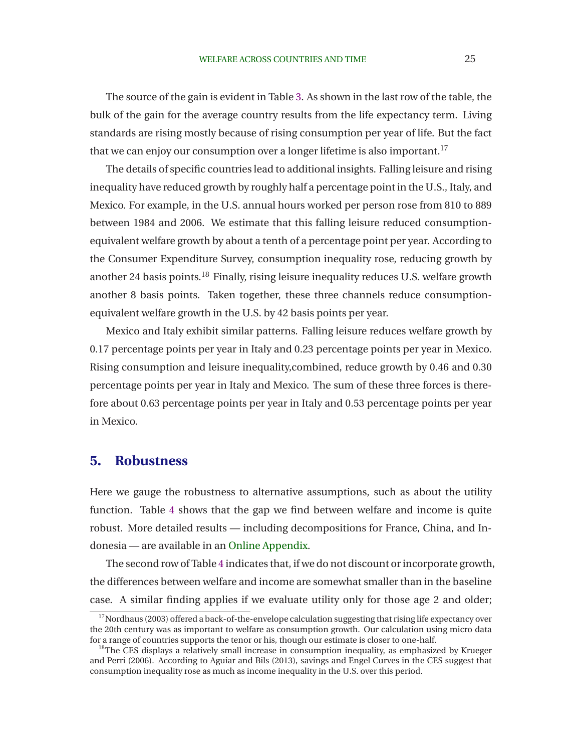The source of the gain is evident in Table [3.](#page-23-0) As shown in the last row of the table, the bulk of the gain for the average country results from the life expectancy term. Living standards are rising mostly because of rising consumption per year of life. But the fact that we can enjoy our consumption over a longer lifetime is also important.<sup>17</sup>

The details of specific countries lead to additional insights. Falling leisure and rising inequality have reduced growth by roughly half a percentage point in the U.S., Italy, and Mexico. For example, in the U.S. annual hours worked per person rose from 810 to 889 between 1984 and 2006. We estimate that this falling leisure reduced consumptionequivalent welfare growth by about a tenth of a percentage point per year. According to the Consumer Expenditure Survey, consumption inequality rose, reducing growth by another 24 basis points.<sup>18</sup> Finally, rising leisure inequality reduces U.S. welfare growth another 8 basis points. Taken together, these three channels reduce consumptionequivalent welfare growth in the U.S. by 42 basis points per year.

Mexico and Italy exhibit similar patterns. Falling leisure reduces welfare growth by 0.17 percentage points per year in Italy and 0.23 percentage points per year in Mexico. Rising consumption and leisure inequality,combined, reduce growth by 0.46 and 0.30 percentage points per year in Italy and Mexico. The sum of these three forces is therefore about 0.63 percentage points per year in Italy and 0.53 percentage points per year in Mexico.

# **5. Robustness**

Here we gauge the robustness to alternative assumptions, such as about the utility function. Table [4](#page-26-0) shows that the gap we find between welfare and income is quite robust. More detailed results — including decompositions for France, China, and Indonesia — are available in an [Online Appendix.](http://www.stanford.edu/~chadj/BeyondGDP-OnlineAppendix.pdf)

The second row of Table [4](#page-26-0) indicates that, if we do not discount or incorporate growth, the differences between welfare and income are somewhat smaller than in the baseline case. A similar finding applies if we evaluate utility only for those age 2 and older;

 $17$ [Nordhaus](#page-40-0) [\(2003\)](#page-40-0) offered a back-of-the-envelope calculation suggesting that rising life expectancy over the 20th century was as important to welfare as consumption growth. Our calculation using micro data for a range of countries supports the tenor or his, though our estimate is closer to one-half.

 $18$ The [CES displays a relatively small increase in consumption inequality, as emphasized by](#page-39-0) Krueger and Perri [\(2006](#page-39-0)). According to [Aguiar and Bils](#page-38-0) [\(2013\)](#page-38-0), savings and Engel Curves in the CES suggest that consumption inequality rose as much as income inequality in the U.S. over this period.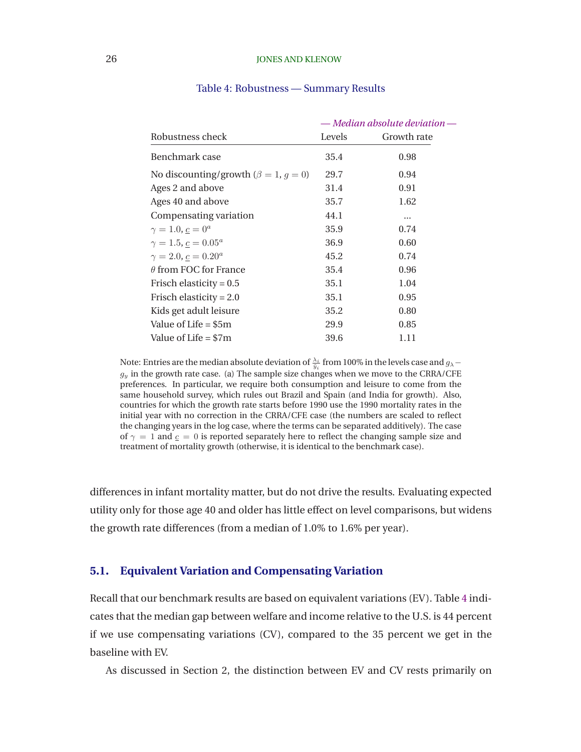### <span id="page-26-0"></span>26 **JONES AND KLENOW**

|                                                 | — Median absolute deviation - |             |  |  |
|-------------------------------------------------|-------------------------------|-------------|--|--|
| Robustness check                                | Levels                        | Growth rate |  |  |
| Benchmark case                                  | 35.4                          | 0.98        |  |  |
| No discounting/growth ( $\beta = 1$ , $g = 0$ ) | 29.7                          | 0.94        |  |  |
| Ages 2 and above                                | 31.4                          | 0.91        |  |  |
| Ages 40 and above                               | 35.7                          | 1.62        |  |  |
| Compensating variation                          | 44.1                          |             |  |  |
| $\gamma = 1.0, c = 0^a$                         | 35.9                          | 0.74        |  |  |
| $\gamma = 1.5, \underline{c} = 0.05^a$          | 36.9                          | 0.60        |  |  |
| $\gamma = 2.0, c = 0.20^a$                      | 45.2                          | 0.74        |  |  |
| $\theta$ from FOC for France                    | 35.4                          | 0.96        |  |  |
| Frisch elasticity = $0.5$                       | 35.1                          | 1.04        |  |  |
| Frisch elasticity = $2.0$                       | 35.1                          | 0.95        |  |  |
| Kids get adult leisure                          | 35.2                          | 0.80        |  |  |
| Value of Life $= $5m$                           | 29.9                          | 0.85        |  |  |
| Value of Life $= $7m$                           | 39.6                          | 1.11        |  |  |

#### Table 4: Robustness — Summary Results

Note: Entries are the median absolute deviation of  $\frac{\lambda_i}{\tilde{y}_i}$  from 100% in the levels case and  $g_\lambda$  $g_y$  in the growth rate case. (a) The sample size changes when we move to the CRRA/CFE preferences. In particular, we require both consumption and leisure to come from the same household survey, which rules out Brazil and Spain (and India for growth). Also, countries for which the growth rate starts before 1990 use the 1990 mortality rates in the initial year with no correction in the CRRA/CFE case (the numbers are scaled to reflect the changing years in the log case, where the terms can be separated additively). The case of  $\gamma = 1$  and  $\epsilon = 0$  is reported separately here to reflect the changing sample size and treatment of mortality growth (otherwise, it is identical to the benchmark case).

differences in infant mortality matter, but do not drive the results. Evaluating expected utility only for those age 40 and older has little effect on level comparisons, but widens the growth rate differences (from a median of 1.0% to 1.6% per year).

## **5.1. Equivalent Variation and Compensating Variation**

Recall that our benchmark results are based on equivalent variations (EV). Table 4 indicates that the median gap between welfare and income relative to the U.S. is 44 percent if we use compensating variations (CV), compared to the 35 percent we get in the baseline with EV.

As discussed in Section 2, the distinction between EV and CV rests primarily on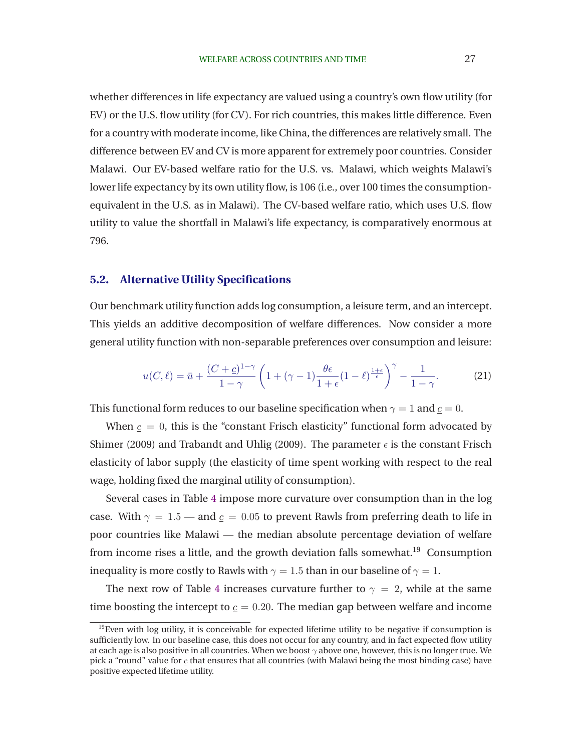whether differences in life expectancy are valued using a country's own flow utility (for EV) or the U.S. flow utility (for CV). For rich countries, this makes little difference. Even for a country with moderate income, like China, the differences are relatively small. The difference between EV and CV is more apparent for extremely poor countries. Consider Malawi. Our EV-based welfare ratio for the U.S. vs. Malawi, which weights Malawi's lower life expectancy by its own utility flow, is 106 (i.e., over 100 times the consumptionequivalent in the U.S. as in Malawi). The CV-based welfare ratio, which uses U.S. flow utility to value the shortfall in Malawi's life expectancy, is comparatively enormous at 796.

### **5.2. Alternative Utility Specifications**

Our benchmark utility function adds log consumption, a leisure term, and an intercept. This yields an additive decomposition of welfare differences. Now consider a more general utility function with non-separable preferences over consumption and leisure:

$$
u(C,\ell) = \bar{u} + \frac{(C+\underline{c})^{1-\gamma}}{1-\gamma} \left(1 + (\gamma - 1)\frac{\theta\epsilon}{1+\epsilon}(1-\ell)^{\frac{1+\epsilon}{\epsilon}}\right)^{\gamma} - \frac{1}{1-\gamma}.
$$
 (21)

This functional form reduces to our baseline specification when  $\gamma = 1$  and  $c = 0$ .

When  $c = 0$ , this is the "constant Frisch elasticity" functional form advocated by [Shimer](#page-40-0) [\(2009](#page-40-0)) and [Trabandt and Uhlig](#page-40-0) (2009). The parameter  $\epsilon$  is the constant Frisch elasticity of labor supply (the elasticity of time spent working with respect to the real wage, holding fixed the marginal utility of consumption).

Several cases in Table [4](#page-26-0) impose more curvature over consumption than in the log case. With  $\gamma = 1.5$  — and  $c = 0.05$  to prevent Rawls from preferring death to life in poor countries like Malawi — the median absolute percentage deviation of welfare from income rises a little, and the growth deviation falls somewhat.<sup>19</sup> Consumption inequality is more costly to Rawls with  $\gamma = 1.5$  than in our baseline of  $\gamma = 1$ .

The next row of Table [4](#page-26-0) increases curvature further to  $\gamma = 2$ , while at the same time boosting the intercept to  $c = 0.20$ . The median gap between welfare and income

 $19$ Even with log utility, it is conceivable for expected lifetime utility to be negative if consumption is sufficiently low. In our baseline case, this does not occur for any country, and in fact expected flow utility at each age is also positive in all countries. When we boost  $\gamma$  above one, however, this is no longer true. We pick a "round" value for  $\epsilon$  that ensures that all countries (with Malawi being the most binding case) have positive expected lifetime utility.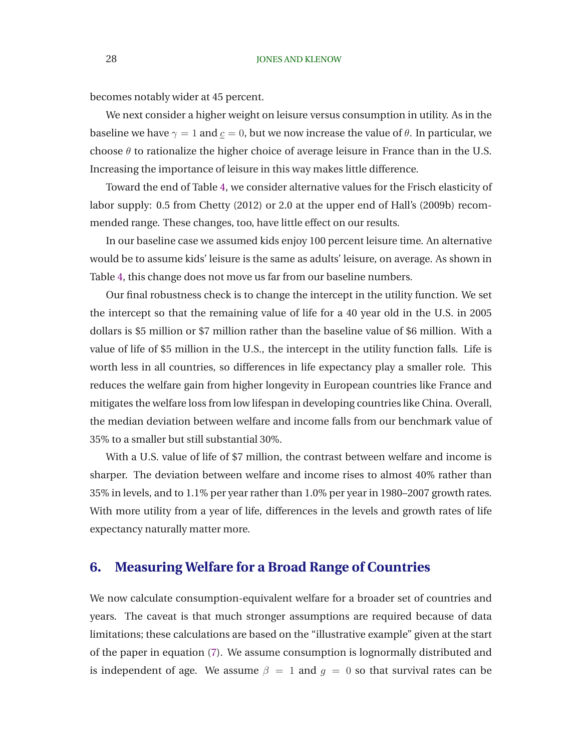becomes notably wider at 45 percent.

We next consider a higher weight on leisure versus consumption in utility. As in the baseline we have  $\gamma = 1$  and  $c = 0$ , but we now increase the value of  $\theta$ . In particular, we choose  $\theta$  to rationalize the higher choice of average leisure in France than in the U.S. Increasing the importance of leisure in this way makes little difference.

Toward the end of Table [4,](#page-26-0) we consider alternative values for the Frisch elasticity of labor supply: 0.5 from [Chetty](#page-39-0) [\(2012\)](#page-39-0) or 2.0 at the upper end of Hall's [\(2009b\)](#page-39-0) recommended range. These changes, too, have little effect on our results.

In our baseline case we assumed kids enjoy 100 percent leisure time. An alternative would be to assume kids' leisure is the same as adults' leisure, on average. As shown in Table [4,](#page-26-0) this change does not move us far from our baseline numbers.

Our final robustness check is to change the intercept in the utility function. We set the intercept so that the remaining value of life for a 40 year old in the U.S. in 2005 dollars is \$5 million or \$7 million rather than the baseline value of \$6 million. With a value of life of \$5 million in the U.S., the intercept in the utility function falls. Life is worth less in all countries, so differences in life expectancy play a smaller role. This reduces the welfare gain from higher longevity in European countries like France and mitigates the welfare loss from low lifespan in developing countries like China. Overall, the median deviation between welfare and income falls from our benchmark value of 35% to a smaller but still substantial 30%.

With a U.S. value of life of \$7 million, the contrast between welfare and income is sharper. The deviation between welfare and income rises to almost 40% rather than 35% in levels, and to 1.1% per year rather than 1.0% per year in 1980–2007 growth rates. With more utility from a year of life, differences in the levels and growth rates of life expectancy naturally matter more.

# **6. Measuring Welfare for a Broad Range of Countries**

We now calculate consumption-equivalent welfare for a broader set of countries and years. The caveat is that much stronger assumptions are required because of data limitations; these calculations are based on the "illustrative example" given at the start of the paper in equation [\(7\)](#page-7-0). We assume consumption is lognormally distributed and is independent of age. We assume  $\beta = 1$  and  $g = 0$  so that survival rates can be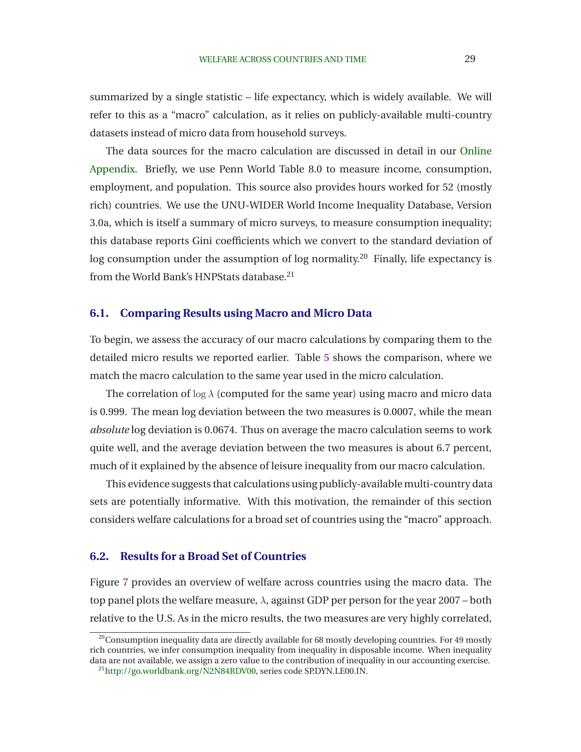summarized by a single statistic – life expectancy, which is widely available. We will refer to this as a "macro" calculation, as it relies on publicly-available multi-country datasets instead of micro data from household surveys.

The data sources for the macro calculation are discussed in detail in our Online Appendix. Briefly, we use Penn World Table 8.0 to measure income, consumption, employment, and population. This source also provides hours worked for 52 (mostly rich) countries. We use the UNU-WIDER World Income Inequality Database, Version 3.0a, which is itself a summary of micro surveys, to measure consumption inequality; this database reports Gini coefficients which we convert to the standard deviation of log consumption under the assumption of log normality.<sup>20</sup> Finally, life expectancy is from the World Bank's HNPStats database.<sup>21</sup>

## **6.1. Comparing Results using Macro and Micro Data**

To begin, we assess the accuracy of our macro calculations by comparing them to the detailed micro results we reported earlier. Table [5](#page-30-0) shows the comparison, where we match the macro calculation to the same year used in the micro calculation.

The correlation of  $\log \lambda$  (computed for the same year) using macro and micro data is 0.999. The mean log deviation between the two measures is 0.0007, while the mean *absolute* log deviation is 0.0674. Thus on average the macro calculation seems to work quite well, and the average deviation between the two measures is about 6.7 percent, much of it explained by the absence of leisure inequality from our macro calculation.

This evidence suggests that calculations using publicly-available multi-country data sets are potentially informative. With this motivation, the remainder of this section considers welfare calculations for a broad set of countries using the "macro" approach.

## **6.2. Results for a Broad Set of Countries**

Figure [7](#page-32-0) provides an overview of welfare across countries using the macro data. The top panel plots the welfare measure,  $\lambda$ , against GDP per person for the year 2007 – both relative to the U.S. As in the micro results, the two measures are very highly correlated,

 $20$ Consumption inequality data are directly available for 68 mostly developing countries. For 49 mostly rich countries, we infer consumption inequality from inequality in disposable income. When inequality data are not available, we assign a zero value to the contribution of inequality in our accounting exercise. <sup>21</sup>[http://go.worldbank.org/N2N84RDV00,](http://go.worldbank.org/N2N84RDV00) series code SP.DYN.LE00.IN.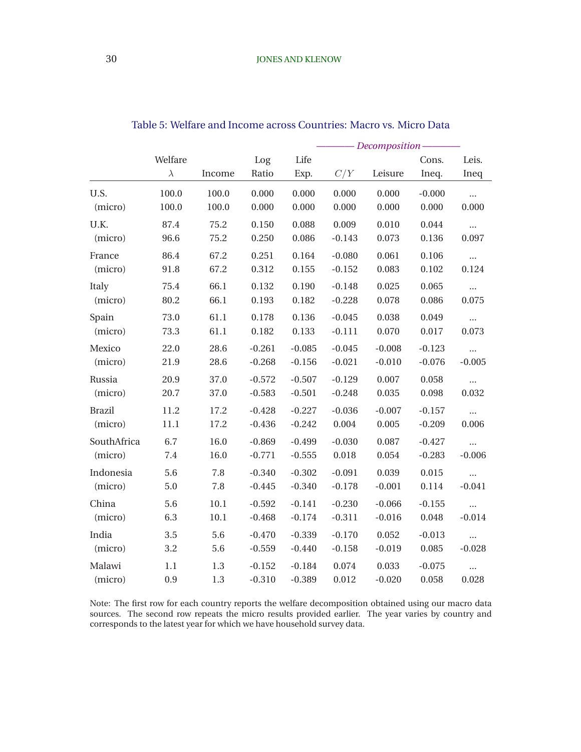<span id="page-30-0"></span>

|               | Welfare<br>$\lambda$ | Income   | Log<br>Ratio | Life<br>Exp. | C/Y      | Leisure  | Cons.<br>Ineq. | Leis.<br>Ineq |
|---------------|----------------------|----------|--------------|--------------|----------|----------|----------------|---------------|
| U.S.          | 100.0                | 100.0    | 0.000        | 0.000        | 0.000    | 0.000    | $-0.000$       | $\ddotsc$     |
| (micro)       | 100.0                | 100.0    | 0.000        | 0.000        | 0.000    | 0.000    | 0.000          | 0.000         |
| U.K.          | 87.4                 | 75.2     | 0.150        | 0.088        | 0.009    | 0.010    | 0.044          | $\cdots$      |
| (micro)       | 96.6                 | 75.2     | 0.250        | 0.086        | $-0.143$ | 0.073    | 0.136          | 0.097         |
| France        | 86.4                 | 67.2     | 0.251        | 0.164        | $-0.080$ | 0.061    | 0.106          | $\cdots$      |
| (micro)       | 91.8                 | 67.2     | 0.312        | 0.155        | $-0.152$ | 0.083    | 0.102          | 0.124         |
| Italy         | 75.4                 | 66.1     | 0.132        | 0.190        | $-0.148$ | 0.025    | 0.065          | $\cdots$      |
| (micro)       | 80.2                 | 66.1     | 0.193        | 0.182        | $-0.228$ | 0.078    | 0.086          | 0.075         |
| Spain         | 73.0                 | 61.1     | 0.178        | 0.136        | $-0.045$ | 0.038    | 0.049          | $\cdots$      |
| (micro)       | 73.3                 | 61.1     | 0.182        | 0.133        | $-0.111$ | 0.070    | 0.017          | 0.073         |
| Mexico        | 22.0                 | 28.6     | $-0.261$     | $-0.085$     | $-0.045$ | $-0.008$ | $-0.123$       | $\cdots$      |
| (micro)       | 21.9                 | 28.6     | $-0.268$     | $-0.156$     | $-0.021$ | $-0.010$ | $-0.076$       | $-0.005$      |
| Russia        | 20.9                 | 37.0     | $-0.572$     | $-0.507$     | $-0.129$ | 0.007    | 0.058          | $\cdots$      |
| (micro)       | 20.7                 | 37.0     | $-0.583$     | $-0.501$     | $-0.248$ | 0.035    | 0.098          | 0.032         |
| <b>Brazil</b> | 11.2                 | 17.2     | $-0.428$     | $-0.227$     | $-0.036$ | $-0.007$ | $-0.157$       | $\cdots$      |
| (micro)       | 11.1                 | 17.2     | $-0.436$     | $-0.242$     | 0.004    | 0.005    | $-0.209$       | 0.006         |
| SouthAfrica   | 6.7                  | 16.0     | $-0.869$     | $-0.499$     | $-0.030$ | 0.087    | $-0.427$       | $\ddots$      |
| (micro)       | 7.4                  | 16.0     | $-0.771$     | $-0.555$     | 0.018    | 0.054    | $-0.283$       | $-0.006$      |
| Indonesia     | 5.6                  | 7.8      | $-0.340$     | $-0.302$     | $-0.091$ | 0.039    | 0.015          | $\cdots$      |
| (micro)       | 5.0                  | 7.8      | $-0.445$     | $-0.340$     | $-0.178$ | $-0.001$ | 0.114          | $-0.041$      |
| China         | 5.6                  | 10.1     | $-0.592$     | $-0.141$     | $-0.230$ | $-0.066$ | $-0.155$       | $\ldots$      |
| (micro)       | 6.3                  | $10.1\,$ | $-0.468$     | $-0.174$     | $-0.311$ | $-0.016$ | 0.048          | $-0.014$      |
| India         | 3.5                  | 5.6      | $-0.470$     | $-0.339$     | $-0.170$ | 0.052    | $-0.013$       | $\ddotsc$     |
| (micro)       | 3.2                  | 5.6      | $-0.559$     | $-0.440$     | $-0.158$ | $-0.019$ | 0.085          | $-0.028$      |
| Malawi        | 1.1                  | $1.3\,$  | $-0.152$     | $-0.184$     | 0.074    | 0.033    | $-0.075$       | $\cdots$      |
| (micro)       | 0.9                  | 1.3      | $-0.310$     | $-0.389$     | 0.012    | $-0.020$ | 0.058          | 0.028         |

Table 5: Welfare and Income across Countries: Macro vs. Micro Data

Note: The first row for each country reports the welfare decomposition obtained using our macro data sources. The second row repeats the micro results provided earlier. The year varies by country and corresponds to the latest year for which we have household survey data.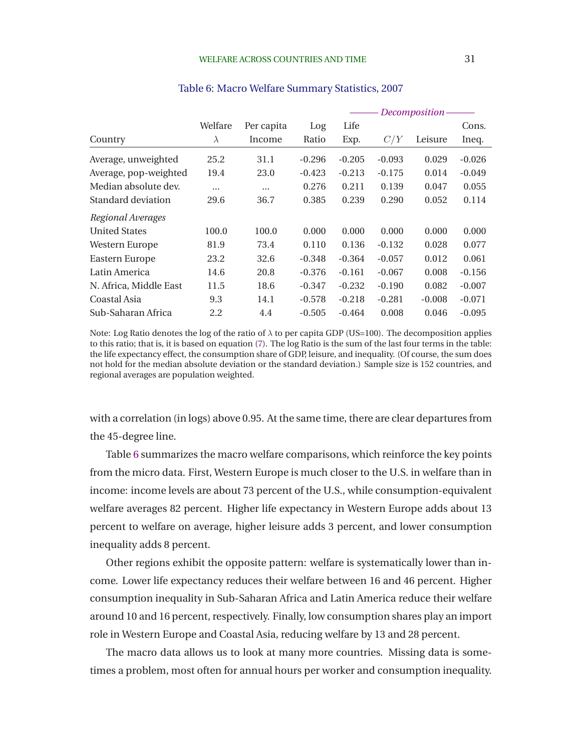|                        |           |            |          |          |                  | Decomposition - |          |
|------------------------|-----------|------------|----------|----------|------------------|-----------------|----------|
|                        | Welfare   | Per capita | Log      | Life     |                  |                 | Cons.    |
| Country                | $\lambda$ | Income     | Ratio    | Exp.     | $C_{\ell}$<br>/Y | Leisure         | Ineq.    |
| Average, unweighted    | 25.2      | 31.1       | $-0.296$ | $-0.205$ | $-0.093$         | 0.029           | $-0.026$ |
| Average, pop-weighted  | 19.4      | 23.0       | $-0.423$ | $-0.213$ | $-0.175$         | 0.014           | $-0.049$ |
| Median absolute dev.   |           | $\cdots$   | 0.276    | 0.211    | 0.139            | 0.047           | 0.055    |
| Standard deviation     | 29.6      | 36.7       | 0.385    | 0.239    | 0.290            | 0.052           | 0.114    |
| Regional Averages      |           |            |          |          |                  |                 |          |
| <b>United States</b>   | 100.0     | 100.0      | 0.000    | 0.000    | 0.000            | 0.000           | 0.000    |
| Western Europe         | 81.9      | 73.4       | 0.110    | 0.136    | $-0.132$         | 0.028           | 0.077    |
| Eastern Europe         | 23.2      | 32.6       | $-0.348$ | $-0.364$ | $-0.057$         | 0.012           | 0.061    |
| Latin America          | 14.6      | 20.8       | $-0.376$ | $-0.161$ | $-0.067$         | 0.008           | $-0.156$ |
| N. Africa, Middle East | 11.5      | 18.6       | $-0.347$ | $-0.232$ | $-0.190$         | 0.082           | $-0.007$ |
| Coastal Asia           | 9.3       | 14.1       | $-0.578$ | $-0.218$ | $-0.281$         | $-0.008$        | $-0.071$ |
| Sub-Saharan Africa     | 2.2       | 4.4        | $-0.505$ | $-0.464$ | 0.008            | 0.046           | $-0.095$ |

### Table 6: Macro Welfare Summary Statistics, 2007

Note: Log Ratio denotes the log of the ratio of  $\lambda$  to per capita GDP (US=100). The decomposition applies to this ratio; that is, it is based on equation [\(7\)](#page-7-0). The log Ratio is the sum of the last four terms in the table: the life expectancy effect, the consumption share of GDP, leisure, and inequality. (Of course, the sum does not hold for the median absolute deviation or the standard deviation.) Sample size is 152 countries, and regional averages are population weighted.

with a correlation (in logs) above 0.95. At the same time, there are clear departures from the 45-degree line.

Table 6 summarizes the macro welfare comparisons, which reinforce the key points from the micro data. First, Western Europe is much closer to the U.S. in welfare than in income: income levels are about 73 percent of the U.S., while consumption-equivalent welfare averages 82 percent. Higher life expectancy in Western Europe adds about 13 percent to welfare on average, higher leisure adds 3 percent, and lower consumption inequality adds 8 percent.

Other regions exhibit the opposite pattern: welfare is systematically lower than income. Lower life expectancy reduces their welfare between 16 and 46 percent. Higher consumption inequality in Sub-Saharan Africa and Latin America reduce their welfare around 10 and 16 percent, respectively. Finally, low consumption shares play an import role in Western Europe and Coastal Asia, reducing welfare by 13 and 28 percent.

The macro data allows us to look at many more countries. Missing data is sometimes a problem, most often for annual hours per worker and consumption inequality.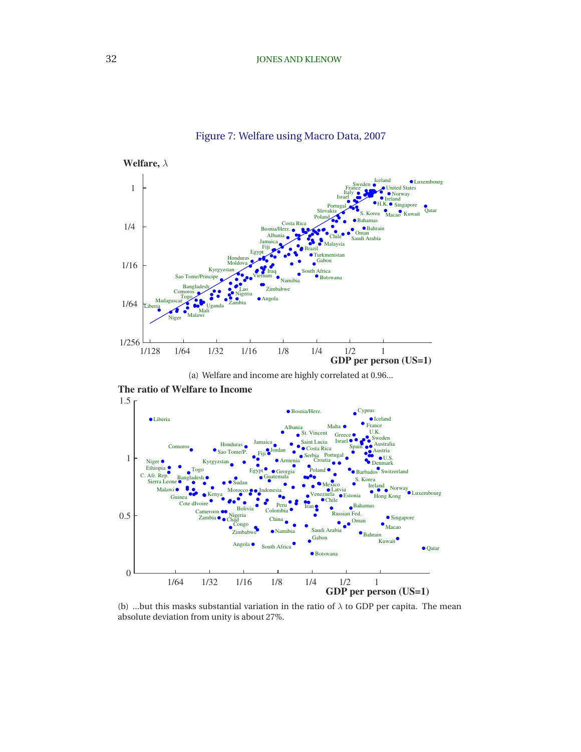<span id="page-32-0"></span>

### Figure 7: Welfare using Macro Data, 2007

(a) Welfare and income are highly correlated at 0.96...



**The ratio of Welfare to Income**

(b) ...but this masks substantial variation in the ratio of  $\lambda$  to GDP per capita. The mean absolute deviation from unity is about 27%.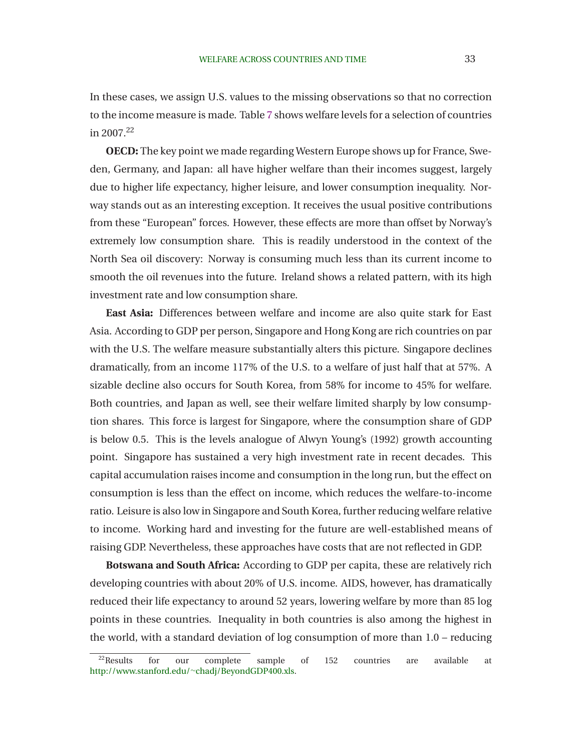In these cases, we assign U.S. values to the missing observations so that no correction to the income measure is made. Table [7](#page-34-0) shows welfare levels for a selection of countries in 2007.<sup>22</sup>

**OECD:** The key point we made regarding Western Europe shows up for France, Sweden, Germany, and Japan: all have higher welfare than their incomes suggest, largely due to higher life expectancy, higher leisure, and lower consumption inequality. Norway stands out as an interesting exception. It receives the usual positive contributions from these "European" forces. However, these effects are more than offset by Norway's extremely low consumption share. This is readily understood in the context of the North Sea oil discovery: Norway is consuming much less than its current income to smooth the oil revenues into the future. Ireland shows a related pattern, with its high investment rate and low consumption share.

**East Asia:** Differences between welfare and income are also quite stark for East Asia. According to GDP per person, Singapore and Hong Kong are rich countries on par with the U.S. The welfare measure substantially alters this picture. Singapore declines dramatically, from an income 117% of the U.S. to a welfare of just half that at 57%. A sizable decline also occurs for South Korea, from 58% for income to 45% for welfare. Both countries, and Japan as well, see their welfare limited sharply by low consumption shares. This force is largest for Singapore, where the consumption share of GDP is below 0.5. This is the levels analogue of Alwyn Young's (1992) growth accounting point. Singapore has sustained a very high investment rate in recent decades. This capital accumulation raises income and consumption in the long run, but the effect on consumption is less than the effect on income, which reduces the welfare-to-income ratio. Leisure is also low in Singapore and South Korea, further reducing welfare relative to income. Working hard and investing for the future are well-established means of raising GDP. Nevertheless, these approaches have costs that are not reflected in GDP.

**Botswana and South Africa:** According to GDP per capita, these are relatively rich developing countries with about 20% of U.S. income. AIDS, however, has dramatically reduced their life expectancy to around 52 years, lowering welfare by more than 85 log points in these countries. Inequality in both countries is also among the highest in the world, with a standard deviation of log consumption of more than 1.0 – reducing

 $^{22}$ Results for our complete sample of 152 countries are available at [http://www.stanford.edu/](http://www.stanford.edu/~chadj/BeyondGDP400.xls)<sup>∼</sup>chadj/BeyondGDP400.xls.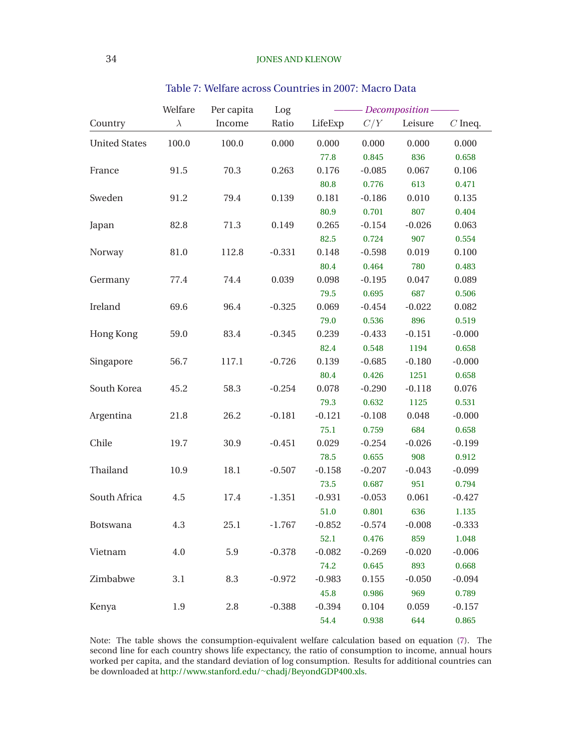<span id="page-34-0"></span>

|                      | Welfare   | Per capita | Log      |          |          | Decomposition- |                    |
|----------------------|-----------|------------|----------|----------|----------|----------------|--------------------|
| Country              | $\lambda$ | Income     | Ratio    | LifeExp  | C/Y      | Leisure        | $\mathcal C$ Ineq. |
| <b>United States</b> | 100.0     | 100.0      | 0.000    | 0.000    | 0.000    | 0.000          | 0.000              |
|                      |           |            |          | 77.8     | 0.845    | 836            | 0.658              |
| France               | 91.5      | 70.3       | 0.263    | 0.176    | $-0.085$ | 0.067          | 0.106              |
|                      |           |            |          | 80.8     | 0.776    | 613            | 0.471              |
| Sweden               | 91.2      | 79.4       | 0.139    | 0.181    | $-0.186$ | 0.010          | 0.135              |
|                      |           |            |          | 80.9     | 0.701    | 807            | 0.404              |
| Japan                | 82.8      | 71.3       | 0.149    | 0.265    | $-0.154$ | $-0.026$       | 0.063              |
|                      |           |            |          | 82.5     | 0.724    | 907            | 0.554              |
| Norway               | 81.0      | 112.8      | $-0.331$ | 0.148    | $-0.598$ | 0.019          | 0.100              |
|                      |           |            |          | 80.4     | 0.464    | 780            | 0.483              |
| Germany              | 77.4      | 74.4       | 0.039    | 0.098    | $-0.195$ | 0.047          | 0.089              |
|                      |           |            |          | 79.5     | 0.695    | 687            | 0.506              |
| Ireland              | 69.6      | 96.4       | $-0.325$ | 0.069    | $-0.454$ | $-0.022$       | 0.082              |
|                      |           |            |          | 79.0     | 0.536    | 896            | 0.519              |
| Hong Kong            | 59.0      | 83.4       | $-0.345$ | 0.239    | $-0.433$ | $-0.151$       | $-0.000$           |
|                      |           |            |          | 82.4     | 0.548    | 1194           | 0.658              |
| Singapore            | 56.7      | 117.1      | $-0.726$ | 0.139    | $-0.685$ | $-0.180$       | $-0.000$           |
|                      |           |            |          | 80.4     | 0.426    | 1251           | 0.658              |
| South Korea          | 45.2      | 58.3       | $-0.254$ | 0.078    | $-0.290$ | $-0.118$       | 0.076              |
|                      |           |            |          | 79.3     | 0.632    | 1125           | 0.531              |
| Argentina            | 21.8      | 26.2       | $-0.181$ | $-0.121$ | $-0.108$ | 0.048          | $-0.000$           |
|                      |           |            |          | 75.1     | 0.759    | 684            | 0.658              |
| Chile                | 19.7      | 30.9       | $-0.451$ | 0.029    | $-0.254$ | $-0.026$       | $-0.199$           |
|                      |           |            |          | 78.5     | 0.655    | 908            | 0.912              |
| Thailand             | 10.9      | 18.1       | $-0.507$ | $-0.158$ | $-0.207$ | $-0.043$       | $-0.099$           |
|                      |           |            |          | 73.5     | 0.687    | 951            | 0.794              |
| South Africa         | 4.5       | 17.4       | $-1.351$ | $-0.931$ | $-0.053$ | 0.061          | $-0.427$           |
|                      |           |            |          | 51.0     | 0.801    | 636            | 1.135              |
| <b>Botswana</b>      | 4.3       | 25.1       | $-1.767$ | $-0.852$ | $-0.574$ | $-0.008$       | $-0.333$           |
|                      |           |            |          | 52.1     | 0.476    | 859            | 1.048              |
| Vietnam              | 4.0       | 5.9        | $-0.378$ | $-0.082$ | $-0.269$ | $-0.020$       | $-0.006$           |
|                      |           |            |          | 74.2     | 0.645    | 893            | 0.668              |
| Zimbabwe             | 3.1       | 8.3        | $-0.972$ | $-0.983$ | 0.155    | $-0.050$       | $-0.094$           |
|                      |           |            |          | 45.8     | 0.986    | 969            | 0.789              |
| Kenya                | 1.9       | 2.8        | $-0.388$ | $-0.394$ | 0.104    | 0.059          | $-0.157$           |
|                      |           |            |          | 54.4     | 0.938    | 644            | 0.865              |

# Table 7: Welfare across Countries in 2007: Macro Data

Note: The table shows the consumption-equivalent welfare calculation based on equation [\(7\)](#page-7-0). The second line for each country shows life expectancy, the ratio of consumption to income, annual hours worked per capita, and the standard deviation of log consumption. Results for additional countries can be downloaded at [http://www.stanford.edu/](http://www.stanford.edu/~chadj/BeyondGDP400.xls)<sup>∼</sup>chadj/BeyondGDP400.xls.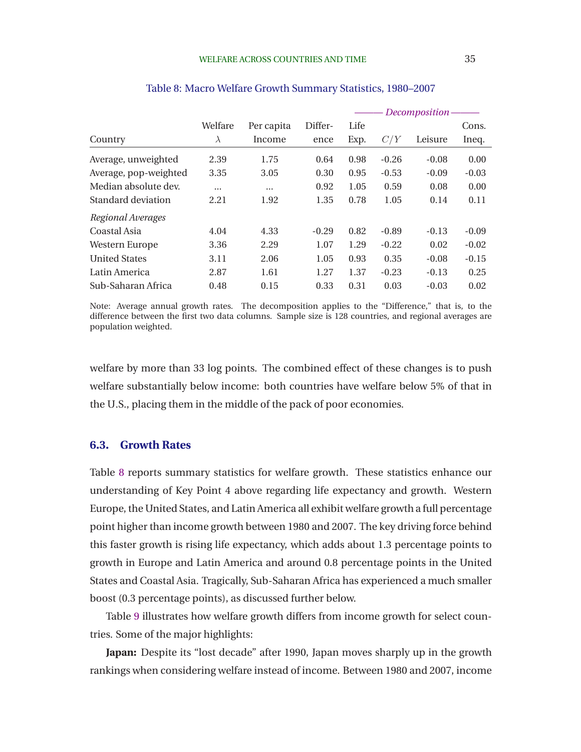<span id="page-35-0"></span>

|                       |           |            |         |      |         | Decomposition- |         |
|-----------------------|-----------|------------|---------|------|---------|----------------|---------|
|                       | Welfare   | Per capita | Differ- | Life |         |                | Cons.   |
| Country               | $\lambda$ | Income     | ence    | Exp. | C/Y     | Leisure        | Ineq.   |
| Average, unweighted   | 2.39      | 1.75       | 0.64    | 0.98 | $-0.26$ | $-0.08$        | 0.00    |
| Average, pop-weighted | 3.35      | 3.05       | 0.30    | 0.95 | $-0.53$ | $-0.09$        | $-0.03$ |
| Median absolute dev.  | $\cdots$  | $\cdots$   | 0.92    | 1.05 | 0.59    | 0.08           | 0.00    |
| Standard deviation    | 2.21      | 1.92       | 1.35    | 0.78 | 1.05    | 0.14           | 0.11    |
| Regional Averages     |           |            |         |      |         |                |         |
| Coastal Asia          | 4.04      | 4.33       | $-0.29$ | 0.82 | $-0.89$ | $-0.13$        | $-0.09$ |
| <b>Western Europe</b> | 3.36      | 2.29       | 1.07    | 1.29 | $-0.22$ | 0.02           | $-0.02$ |
| <b>United States</b>  | 3.11      | 2.06       | 1.05    | 0.93 | 0.35    | $-0.08$        | $-0.15$ |
| Latin America         | 2.87      | 1.61       | 1.27    | 1.37 | $-0.23$ | $-0.13$        | 0.25    |
| Sub-Saharan Africa    | 0.48      | 0.15       | 0.33    | 0.31 | 0.03    | $-0.03$        | 0.02    |

### Table 8: Macro Welfare Growth Summary Statistics, 1980–2007

Note: Average annual growth rates. The decomposition applies to the "Difference," that is, to the difference between the first two data columns. Sample size is 128 countries, and regional averages are population weighted.

welfare by more than 33 log points. The combined effect of these changes is to push welfare substantially below income: both countries have welfare below 5% of that in the U.S., placing them in the middle of the pack of poor economies.

## **6.3. Growth Rates**

Table 8 reports summary statistics for welfare growth. These statistics enhance our understanding of Key Point 4 above regarding life expectancy and growth. Western Europe, the United States, and Latin America all exhibit welfare growth a full percentage point higher than income growth between 1980 and 2007. The key driving force behind this faster growth is rising life expectancy, which adds about 1.3 percentage points to growth in Europe and Latin America and around 0.8 percentage points in the United States and Coastal Asia. Tragically, Sub-Saharan Africa has experienced a much smaller boost (0.3 percentage points), as discussed further below.

Table [9](#page-36-0) illustrates how welfare growth differs from income growth for select countries. Some of the major highlights:

**Japan:** Despite its "lost decade" after 1990, Japan moves sharply up in the growth rankings when considering welfare instead of income. Between 1980 and 2007, income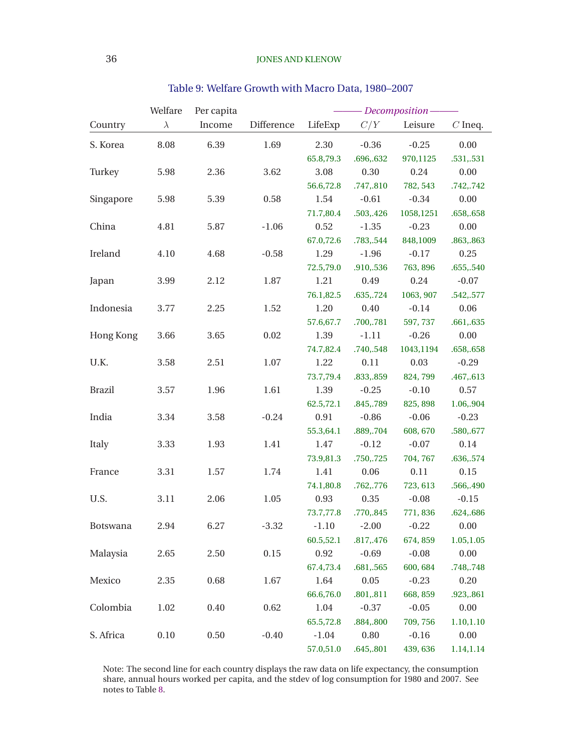<span id="page-36-0"></span>

|               | Welfare   | Per capita |            |           |           | $\overline{\phantom{m}}$ Decomposition $\overline{\phantom{m}}$ |            |
|---------------|-----------|------------|------------|-----------|-----------|-----------------------------------------------------------------|------------|
| Country       | $\lambda$ | Income     | Difference | LifeExp   | C/Y       | Leisure                                                         | $C$ Ineq.  |
| S. Korea      | 8.08      | 6.39       | 1.69       | 2.30      | $-0.36$   | $-0.25$                                                         | 0.00       |
|               |           |            |            | 65.8,79.3 | .696,.632 | 970,1125                                                        | .531,.531  |
| Turkey        | 5.98      | 2.36       | 3.62       | 3.08      | 0.30      | 0.24                                                            | 0.00       |
|               |           |            |            | 56.6,72.8 | .747,.810 | 782, 543                                                        | .742,.742  |
| Singapore     | 5.98      | 5.39       | 0.58       | 1.54      | $-0.61$   | $-0.34$                                                         | 0.00       |
|               |           |            |            | 71.7,80.4 | .503,.426 | 1058,1251                                                       | .658,.658  |
| China         | 4.81      | 5.87       | $-1.06$    | 0.52      | $-1.35$   | $-0.23$                                                         | 0.00       |
|               |           |            |            | 67.0,72.6 | .783,.544 | 848,1009                                                        | .863,.863  |
| Ireland       | 4.10      | 4.68       | $-0.58$    | 1.29      | $-1.96$   | $-0.17$                                                         | 0.25       |
|               |           |            |            | 72.5,79.0 | .910,.536 | 763, 896                                                        | .655,.540  |
| Japan         | 3.99      | 2.12       | 1.87       | 1.21      | 0.49      | 0.24                                                            | $-0.07$    |
|               |           |            |            | 76.1,82.5 | .635,.724 | 1063, 907                                                       | .542,.577  |
| Indonesia     | 3.77      | 2.25       | 1.52       | 1.20      | 0.40      | $-0.14$                                                         | 0.06       |
|               |           |            |            | 57.6,67.7 | .700,.781 | 597, 737                                                        | .661,.635  |
| Hong Kong     | 3.66      | 3.65       | 0.02       | 1.39      | $-1.11$   | $-0.26$                                                         | 0.00       |
|               |           |            |            | 74.7,82.4 | .740,.548 | 1043,1194                                                       | .658,.658  |
| U.K.          | 3.58      | 2.51       | 1.07       | 1.22      | 0.11      | 0.03                                                            | $-0.29$    |
|               |           |            |            | 73.7,79.4 | .833,.859 | 824,799                                                         | .467,.613  |
| <b>Brazil</b> | 3.57      | 1.96       | 1.61       | 1.39      | $-0.25$   | $-0.10$                                                         | 0.57       |
|               |           |            |            | 62.5,72.1 | .845,.789 | 825, 898                                                        | 1.06,.904  |
| India         | 3.34      | 3.58       | $-0.24$    | 0.91      | $-0.86$   | $-0.06$                                                         | $-0.23$    |
|               |           |            |            | 55.3,64.1 | .889,.704 | 608, 670                                                        | .580,.677  |
| Italy         | 3.33      | 1.93       | 1.41       | 1.47      | $-0.12$   | $-0.07$                                                         | 0.14       |
|               |           |            |            | 73.9,81.3 | .750,.725 | 704, 767                                                        | .636,.574  |
| France        | 3.31      | 1.57       | 1.74       | 1.41      | 0.06      | 0.11                                                            | 0.15       |
|               |           |            |            | 74.1,80.8 | .762,.776 | 723, 613                                                        | .566,.490  |
| U.S.          | 3.11      | 2.06       | 1.05       | 0.93      | 0.35      | $-0.08$                                                         | $-0.15$    |
|               |           |            |            | 73.7,77.8 | .770,.845 | 771,836                                                         | .624,.686  |
| Botswana      | 2.94      | 6.27       | $-3.32$    | $-1.10$   | $-2.00$   | $-0.22$                                                         | 0.00       |
|               |           |            |            | 60.5,52.1 | .817,.476 | 674, 859                                                        | 1.05,1.05  |
| Malaysia      | 2.65      | 2.50       | 0.15       | 0.92      | $-0.69$   | $-0.08$                                                         | 0.00       |
|               |           |            |            | 67.4,73.4 | .681,.565 | 600, 684                                                        | .748,.748  |
| Mexico        | 2.35      | 0.68       | 1.67       | 1.64      | 0.05      | $-0.23$                                                         | 0.20       |
|               |           |            |            | 66.6,76.0 | .801,.811 | 668, 859                                                        | .923,.861  |
| Colombia      | 1.02      | 0.40       | 0.62       | 1.04      | $-0.37$   | $-0.05$                                                         | 0.00       |
|               |           |            |            | 65.5,72.8 | .884,.800 | 709, 756                                                        | 1.10, 1.10 |
| S. Africa     | 0.10      | 0.50       | $-0.40$    | $-1.04$   | 0.80      | $-0.16$                                                         | 0.00       |
|               |           |            |            | 57.0,51.0 | .645,.801 | 439,636                                                         | 1.14,1.14  |

# Table 9: Welfare Growth with Macro Data, 1980–2007

Note: The second line for each country displays the raw data on life expectancy, the consumption share, annual hours worked per capita, and the stdev of log consumption for 1980 and 2007. See notes to Table [8.](#page-35-0)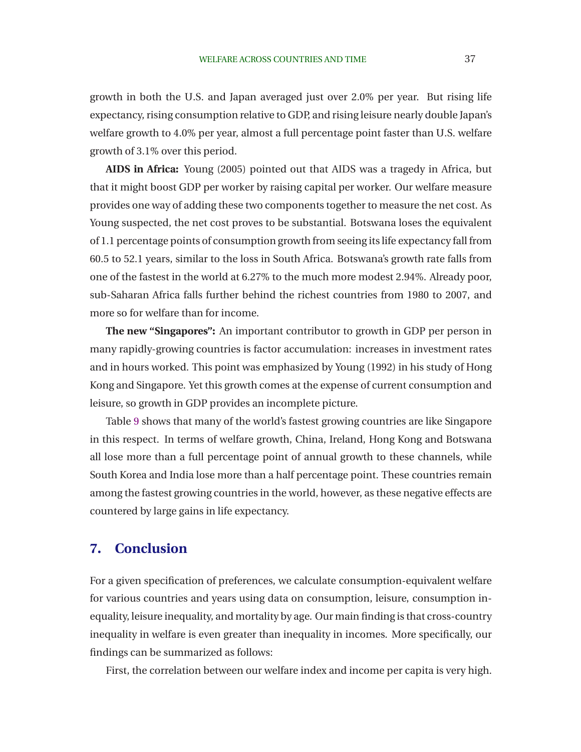growth in both the U.S. and Japan averaged just over 2.0% per year. But rising life expectancy, rising consumption relative to GDP, and rising leisure nearly double Japan's welfare growth to 4.0% per year, almost a full percentage point faster than U.S. welfare growth of 3.1% over this period.

**AIDS in Africa:** [Young](#page-41-0) [\(2005\)](#page-41-0) pointed out that AIDS was a tragedy in Africa, but that it might boost GDP per worker by raising capital per worker. Our welfare measure provides one way of adding these two components together to measure the net cost. As Young suspected, the net cost proves to be substantial. Botswana loses the equivalent of 1.1 percentage points of consumption growth from seeing its life expectancy fall from 60.5 to 52.1 years, similar to the loss in South Africa. Botswana's growth rate falls from one of the fastest in the world at 6.27% to the much more modest 2.94%. Already poor, sub-Saharan Africa falls further behind the richest countries from 1980 to 2007, and more so for welfare than for income.

**The new "Singapores":** An important contributor to growth in GDP per person in many rapidly-growing countries is factor accumulation: increases in investment rates and in hours worked. This point was emphasized by [Young \(1992\)](#page-40-0) in his study of Hong Kong and Singapore. Yet this growth comes at the expense of current consumption and leisure, so growth in GDP provides an incomplete picture.

Table [9](#page-36-0) shows that many of the world's fastest growing countries are like Singapore in this respect. In terms of welfare growth, China, Ireland, Hong Kong and Botswana all lose more than a full percentage point of annual growth to these channels, while South Korea and India lose more than a half percentage point. These countries remain among the fastest growing countries in the world, however, as these negative effects are countered by large gains in life expectancy.

# **7. Conclusion**

For a given specification of preferences, we calculate consumption-equivalent welfare for various countries and years using data on consumption, leisure, consumption inequality, leisure inequality, and mortality by age. Our main finding is that cross-country inequality in welfare is even greater than inequality in incomes. More specifically, our findings can be summarized as follows:

First, the correlation between our welfare index and income per capita is very high.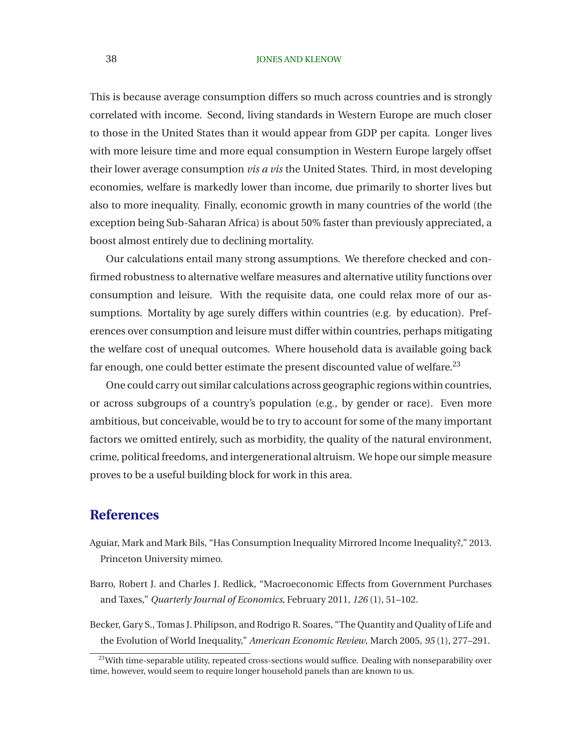### <span id="page-38-0"></span>38 JONES AND KLENOW

This is because average consumption differs so much across countries and is strongly correlated with income. Second, living standards in Western Europe are much closer to those in the United States than it would appear from GDP per capita. Longer lives with more leisure time and more equal consumption in Western Europe largely offset their lower average consumption *vis a vis* the United States. Third, in most developing economies, welfare is markedly lower than income, due primarily to shorter lives but also to more inequality. Finally, economic growth in many countries of the world (the exception being Sub-Saharan Africa) is about 50% faster than previously appreciated, a boost almost entirely due to declining mortality.

Our calculations entail many strong assumptions. We therefore checked and confirmed robustness to alternative welfare measures and alternative utility functions over consumption and leisure. With the requisite data, one could relax more of our assumptions. Mortality by age surely differs within countries (e.g. by education). Preferences over consumption and leisure must differ within countries, perhaps mitigating the welfare cost of unequal outcomes. Where household data is available going back far enough, one could better estimate the present discounted value of welfare.<sup>23</sup>

One could carry out similar calculations across geographic regions within countries, or across subgroups of a country's population (e.g., by gender or race). Even more ambitious, but conceivable, would be to try to account for some of the many important factors we omitted entirely, such as morbidity, the quality of the natural environment, crime, political freedoms, and intergenerational altruism. We hope our simple measure proves to be a useful building block for work in this area.

# **References**

- Aguiar, Mark and Mark Bils, "Has Consumption Inequality Mirrored Income Inequality?," 2013. Princeton University mimeo.
- Barro, Robert J. and Charles J. Redlick, "Macroeconomic Effects from Government Purchases and Taxes," *Quarterly Journal of Economics*, February 2011, *126* (1), 51–102.

Becker, Gary S., Tomas J. Philipson, and Rodrigo R. Soares, "The Quantity and Quality of Life and the Evolution of World Inequality," *American Economic Review*, March 2005, *95* (1), 277–291.

 $23$ With time-separable utility, repeated cross-sections would suffice. Dealing with nonseparability over time, however, would seem to require longer household panels than are known to us.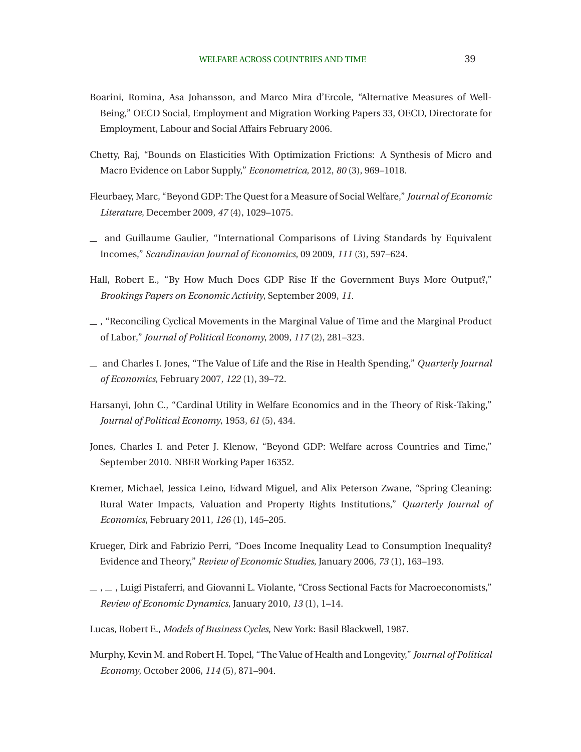- <span id="page-39-0"></span>Boarini, Romina, Asa Johansson, and Marco Mira d'Ercole, "Alternative Measures of Well-Being," OECD Social, Employment and Migration Working Papers 33, OECD, Directorate for Employment, Labour and Social Affairs February 2006.
- Chetty, Raj, "Bounds on Elasticities With Optimization Frictions: A Synthesis of Micro and Macro Evidence on Labor Supply," *Econometrica*, 2012, *80* (3), 969–1018.
- Fleurbaey, Marc, "Beyond GDP: The Quest for a Measure of Social Welfare," *Journal of Economic Literature*, December 2009, *47* (4), 1029–1075.
- and Guillaume Gaulier, "International Comparisons of Living Standards by Equivalent Incomes," *Scandinavian Journal of Economics*, 09 2009, *111* (3), 597–624.
- Hall, Robert E., "By How Much Does GDP Rise If the Government Buys More Output?," *Brookings Papers on Economic Activity*, September 2009, *11.*
- , "Reconciling Cyclical Movements in the Marginal Value of Time and the Marginal Product of Labor," *Journal of Political Economy*, 2009, *117* (2), 281–323.
- and Charles I. Jones, "The Value of Life and the Rise in Health Spending," *Quarterly Journal of Economics*, February 2007, *122* (1), 39–72.
- Harsanyi, John C., "Cardinal Utility in Welfare Economics and in the Theory of Risk-Taking," *Journal of Political Economy*, 1953, *61* (5), 434.
- Jones, Charles I. and Peter J. Klenow, "Beyond GDP: Welfare across Countries and Time," September 2010. NBER Working Paper 16352.
- Kremer, Michael, Jessica Leino, Edward Miguel, and Alix Peterson Zwane, "Spring Cleaning: Rural Water Impacts, Valuation and Property Rights Institutions," *Quarterly Journal of Economics*, February 2011, *126* (1), 145–205.
- Krueger, Dirk and Fabrizio Perri, "Does Income Inequality Lead to Consumption Inequality? Evidence and Theory," *Review of Economic Studies*, January 2006, *73* (1), 163–193.
- $\_\,$ ,  $\_\,$ , Luigi Pistaferri, and Giovanni L. Violante, "Cross Sectional Facts for Macroeconomists," *Review of Economic Dynamics*, January 2010, *13* (1), 1–14.
- Lucas, Robert E., *Models of Business Cycles*, New York: Basil Blackwell, 1987.
- Murphy, Kevin M. and Robert H. Topel, "The Value of Health and Longevity," *Journal of Political Economy*, October 2006, *114* (5), 871–904.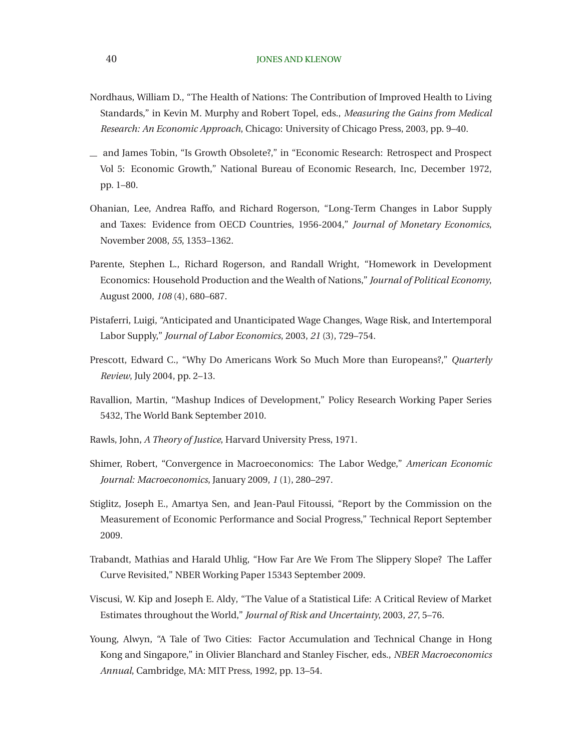- <span id="page-40-0"></span>Nordhaus, William D., "The Health of Nations: The Contribution of Improved Health to Living Standards," in Kevin M. Murphy and Robert Topel, eds., *Measuring the Gains from Medical Research: An Economic Approach*, Chicago: University of Chicago Press, 2003, pp. 9–40.
- and James Tobin, "Is Growth Obsolete?," in "Economic Research: Retrospect and Prospect Vol 5: Economic Growth," National Bureau of Economic Research, Inc, December 1972, pp. 1–80.
- Ohanian, Lee, Andrea Raffo, and Richard Rogerson, "Long-Term Changes in Labor Supply and Taxes: Evidence from OECD Countries, 1956-2004," *Journal of Monetary Economics*, November 2008, *55*, 1353–1362.
- Parente, Stephen L., Richard Rogerson, and Randall Wright, "Homework in Development Economics: Household Production and the Wealth of Nations," *Journal of Political Economy*, August 2000, *108* (4), 680–687.
- Pistaferri, Luigi, "Anticipated and Unanticipated Wage Changes, Wage Risk, and Intertemporal Labor Supply," *Journal of Labor Economics*, 2003, *21* (3), 729–754.
- Prescott, Edward C., "Why Do Americans Work So Much More than Europeans?," *Quarterly Review*, July 2004, pp. 2–13.
- Ravallion, Martin, "Mashup Indices of Development," Policy Research Working Paper Series 5432, The World Bank September 2010.
- Rawls, John, *A Theory of Justice*, Harvard University Press, 1971.
- Shimer, Robert, "Convergence in Macroeconomics: The Labor Wedge," *American Economic Journal: Macroeconomics*, January 2009, *1* (1), 280–297.
- Stiglitz, Joseph E., Amartya Sen, and Jean-Paul Fitoussi, "Report by the Commission on the Measurement of Economic Performance and Social Progress," Technical Report September 2009.
- Trabandt, Mathias and Harald Uhlig, "How Far Are We From The Slippery Slope? The Laffer Curve Revisited," NBER Working Paper 15343 September 2009.
- Viscusi, W. Kip and Joseph E. Aldy, "The Value of a Statistical Life: A Critical Review of Market Estimates throughout the World," *Journal of Risk and Uncertainty*, 2003, *27*, 5–76.
- Young, Alwyn, "A Tale of Two Cities: Factor Accumulation and Technical Change in Hong Kong and Singapore," in Olivier Blanchard and Stanley Fischer, eds., *NBER Macroeconomics Annual*, Cambridge, MA: MIT Press, 1992, pp. 13–54.